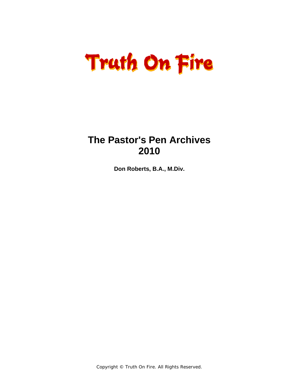### **The Pastor's Pen Archives 2010**

**Don Roberts, B.A., M.Div.**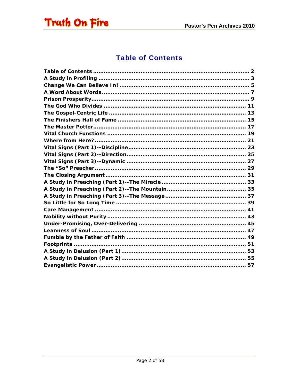<span id="page-1-0"></span>

### **Table of Contents**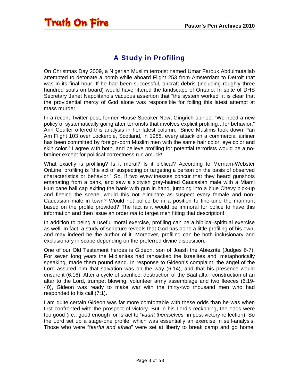<span id="page-2-0"></span>

### A Study in Profiling

On Christmas Day 2009, a Nigerian Muslim terrorist named Umar Farouk Abdulmutallab attempted to detonate a bomb while aboard Flight 253 from Amsterdam to Detroit that was in its final hour. If he had been successful, aircraft debris (including roughly three hundred souls on board) would have littered the landscape of Ontario. In spite of DHS Secretary Janet Napolitano's vacuous assertion that "the system worked" it is clear that the providential mercy of God alone was responsible for foiling this latest attempt at mass murder.

In a recent Twitter post, former House Speaker Newt Gingrich opined: "We need a new policy of systematically going after terrorists that involves explicit profiling…for behavior." Ann Coulter offered this analysis in her latest column: "Since Muslims took down Pan Am Flight 103 over Lockerbie, Scotland, in 1988, every attack on a commercial airliner has been committed by foreign-born Muslim men with the same hair color, eye color and skin color." I agree with both, and believe profiling for potential terrorists would be a nobrainer except for political correctness run amuck!

What exactly is profiling? Is it moral? Is it biblical? According to Merriam-Webster OnLine, profiling is "the act of suspecting or targeting a person on the basis of observed characteristics or behavior." So, if two eyewitnesses concur that they heard gunshots emanating from a bank, and saw a sixtyish gray-haired Caucasian male with a Miami Hurricane ball cap exiting the bank with gun in hand, jumping into a blue Chevy pick-up and fleeing the scene, would this not eliminate as suspect every female and non-Caucasian male in town? Would not police be in a position to fine-tune the manhunt based on the profile provided? The fact is it would be immoral for police to have this information and then issue an order *not* to target men fitting that description!

In addition to being a useful moral exercise, profiling can be a biblical-spiritual exercise as well. In fact, a study of scripture reveals that God has done a little profiling of his own, and may indeed be the author of it. Moreover, profiling can be both inclusionary and exclusionary in scope depending on the preferred divine disposition.

One of our Old Testament heroes is Gideon, son of Joash the Abiezrite (Judges 6-7). For seven long years the Midianites had ransacked the Israelites and, metaphorically speaking, made them pound sand. In response to Gideon's complaint, the angel of the Lord assured him that salvation was on the way (6:14), and that his presence would ensure it (6:16). After a cycle of sacrifice, destruction of the Baal altar, construction of an altar to the Lord, trumpet blowing, volunteer army assemblage and two fleeces (6:19- 40), Gideon was ready to make war with the thirty-two thousand men who had responded to his call (7:1).

I am quite certain Gideon was far more comfortable with these odds than he was when first confronted with the prospect of victory. But in his Lord's reckoning, the odds were too good (i.e., good enough for Israel to "*vaunt themselves*" in post-victory reflection). So the Lord set up a stage-one profile, which was essentially an exercise in self-analysis. Those who were "f*earful and afraid*" were set at liberty to break camp and go home.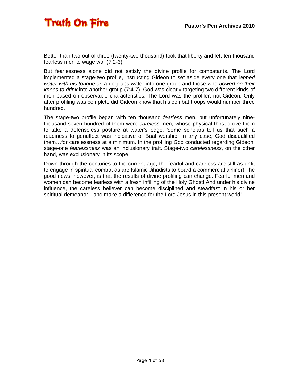Better than two out of three (twenty-two thousand) took that liberty and left ten thousand fearless men to wage war (7:2-3).

But fearlessness alone did not satisfy the divine profile for combatants. The Lord implemented a stage-two profile, instructing Gideon to set aside every one that l*apped water with his tongue* as a dog laps water into one group and those who *bowed on their knees to drink* into another group (7:4-7). God was clearly targeting two different kinds of men based on observable characteristics. The Lord was the profiler, not Gideon. Only after profiling was complete did Gideon know that his combat troops would number three hundred.

The stage-two profile began with ten thousand *fearless* men, but unfortunately ninethousand seven hundred of them were *careless* men, whose physical thirst drove them to take a defenseless posture at water's edge. Some scholars tell us that such a readiness to genuflect was indicative of Baal worship. In any case, God disqualified them…for carelessness at a minimum. In the profiling God conducted regarding Gideon, stage-one *fearlessness* was an inclusionary trait. Stage-two *carelessness*, on the other hand, was exclusionary in its scope.

Down through the centuries to the current age, the fearful and careless are still as unfit to engage in spiritual combat as are Islamic Jihadists to board a commercial airliner! The good news, however, is that the results of divine profiling can change. Fearful men and women can become fearless with a fresh infilling of the Holy Ghost! And under his divine influence, the careless believer can become disciplined and steadfast in his or her spiritual demeanor…and make a difference for the Lord Jesus in this present world!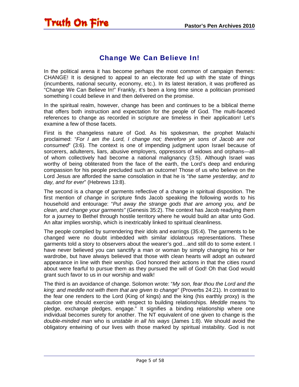#### Change We Can Believe In!

<span id="page-4-0"></span>In the political arena it has become perhaps the most common of campaign themes: CHANGE! It is designed to appeal to an electorate fed up with the state of things (incumbents, national security, economy, etc.). In its latest iteration, it was proffered as "Change We Can Believe In!" Frankly, it's been a long time since a politician promised something I could believe in and then delivered on the promise.

In the spiritual realm, however, change has been and continues to be a biblical theme that offers both instruction and expectation for the people of God. The multi-faceted references to change as recorded in scripture are timeless in their application! Let's examine a few of those facets.

First is the changeless nature of God. As his spokesman, the prophet Malachi proclaimed: "*For I am the Lord, I change not; therefore ye sons of Jacob are not consumed*" (3:6). The context is one of impending judgment upon Israel because of sorcerers, adulterers, liars, abusive employers, oppressors of widows and orphans—all of whom collectively had become a national malignancy (3:5). Although Israel was worthy of being obliterated from the face of the earth, the Lord's deep and enduring compassion for his people precluded such an outcome! Those of us who believe on the Lord Jesus are afforded the same consolation in that he is "*the same yesterday, and to day, and for ever*" (Hebrews 13:8).

The second is a change of garments reflective of a change in spiritual disposition. The first mention of *change* in scripture finds Jacob speaking the following words to his household and entourage: "*Put away the strange gods that are among you, and be clean, and change your garments"* (Genesis 35:2). The context has Jacob readying them for a journey to Bethel through hostile territory where he would build an altar unto God. An altar implies worship, which is inextricably linked to spiritual cleanliness.

The people complied by surrendering their idols and earrings (35:4). The garments to be changed were no doubt imbedded with similar idolatrous representations. These garments told a story to observers about the wearer's god…and still do to some extent. I have never believed you can sanctify a man or woman by simply changing his or her wardrobe, but have always believed that those with clean hearts will adopt an outward appearance in line with their worship. God honored their actions in that the cities round about were fearful to pursue them as they pursued the will of God! Oh that God would grant such favor to us in our worship and walk!

The third is an avoidance of change. Solomon wrote: "*My son, fear thou the Lord and the king: and meddle not with them that are given to change*" (Proverbs 24:21). In contrast to the fear one renders to the Lord (King of kings) and the king (his earthly proxy) is the caution one should exercise with respect to building relationships. *Meddle* means "to pledge, exchange pledges, engage." It signifies a binding relationship where one individual becomes surety for another. The NT equivalent of one given to change is the *double-minded man* who is *unstable in all his ways* (James 1:8). We should avoid the obligatory entwining of our lives with those marked by spiritual instability. God is not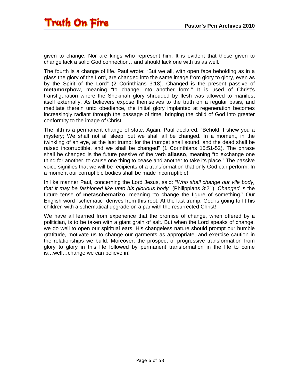given to change. Nor are kings who represent him. It is evident that those given to change lack a solid God connection…and should lack one with us as well.

The fourth is a change of life. Paul wrote: "But we all, with open face beholding as in a glass the glory of the Lord, are changed into the same image from glory to glory, even as by the Spirit of the Lord" (2 Corinthians 3:18). Changed is the present passive of **metamorphow**, meaning "to change into another form." It is used of Christ's transfiguration where the Shekinah glory shrouded by flesh was allowed to manifest itself externally. As believers expose themselves to the truth on a regular basis, and meditate therein unto obedience, the initial glory implanted at regeneration becomes increasingly radiant through the passage of time, bringing the child of God into greater conformity to the image of Christ.

The fifth is a permanent change of state. Again, Paul declared: "Behold, I shew you a mystery; We shall not all sleep, but we shall all be changed. In a moment, in the twinkling of an eye, at the last trump: for the trumpet shall sound, and the dead shall be raised incorruptible, and we shall be changed" (1 Corinthians 15:51-52). The phrase shall be changed is the future passive of the verb **allasso**, meaning "to exchange one thing for another, to cause one thing to cease and another to take its place." The passive voice signifies that we will be recipients of a transformation that only God can perform. In a moment our corruptible bodies shall be made incorruptible!

In like manner Paul, concerning the Lord Jesus, said: "*Who shall change our vile body, that it may be fashioned like unto his glorious body*" (Philippians 3:21). *Changed* is the future tense of **metaschematizo**, meaning "to change the figure of something." Our English word "schematic" derives from this root. At the last trump, God is going to fit his children with a schematical upgrade on a par with the resurrected Christ!

We have all learned from experience that the promise of change, when offered by a politician, is to be taken with a giant grain of salt. But when the Lord speaks of change, we do well to open our spiritual ears. His changeless nature should prompt our humble gratitude, motivate us to change our garments as appropriate, and exercise caution in the relationships we build. Moreover, the prospect of progressive transformation from glory to glory in this life followed by permanent transformation in the life to come is…well…change we can believe in!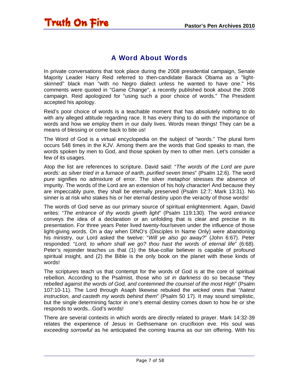<span id="page-6-0"></span>

#### A Word About Words

In private conversations that took place during the 2008 presidential campaign, Senate Majority Leader Harry Reid referred to then-candidate Barack Obama as a "lightskinned" black man "with no Negro dialect unless he wanted to have one." His comments were quoted in "Game Change", a recently published book about the 2008 campaign. Reid apologized for "using such a poor choice of words." The President accepted his apology.

Reid's poor choice of words is a teachable moment that has absolutely nothing to do with any alleged attitude regarding race. It has every thing to do with the importance of words and how we employ them in our daily lives. Words mean things! They can be a means of blessing or come back to bite us!

The Word of God is a virtual encyclopedia on the subject of "words." The plural form occurs 548 times in the KJV. Among them are the words that God speaks to man, the words spoken by men to God, and those spoken by men to other men. Let's consider a few of its usages.

Atop the list are references to scripture. David said: "*The words of the Lord are pure words: as silver tried in a furnace of earth, purified seven times*" (Psalm 12:6). The word *pure* signifies no admixture of error. The silver metaphor stresses the absence of impurity. The words of the Lord are an extension of his holy character! And because they are impeccably pure, they shall be eternally preserved (Psalm 12:7; Mark 13:31). No sinner is at risk who stakes his or her eternal destiny upon the veracity of those words!

The words of God serve as our primary source of spiritual enlightenment. Again, David writes: "*The entrance of thy words giveth light*" (Psalm 119:130). The word *entrance* conveys the idea of a declaration or an unfolding that is clear and precise in its presentation. For three years Peter lived twenty-four/seven under the influence of those light-giving words. On a day when DINO's (Disciples In Name Only) were abandoning his ministry, our Lord asked the twelve: "*Will ye also go away?*" (John 6:67). Peter responded: "*Lord, to whom shall we go? thou hast the words of eternal life*" (6:68). Peter's rejoinder teaches us that (1) the blue-collar believer is capable of profound spiritual insight, and (2) the Bible is the only book on the planet with these kinds of words!

The scriptures teach us that contempt for the words of God is at the core of spiritual rebellion. According to the Psalmist, those who *sit in darkness* do so because "*they rebelled against the words of God, and contemned the counsel of the most High*" (Psalm 107:10-11). The Lord through Asaph likewise rebuked the *wicked* ones that "*hatest instruction, and casteth my words behind them*" (Psalm 50 17). It may sound simplistic, but the single determining factor in one's eternal destiny comes down to how he or she responds to words...God's words!

There are several contexts in which words are directly related to prayer. Mark 14:32-39 relates the experience of Jesus in Gethsemane on crucifixion eve. His soul was *exceeding sorrowful* as he anticipated the coming trauma as our sin offering. With his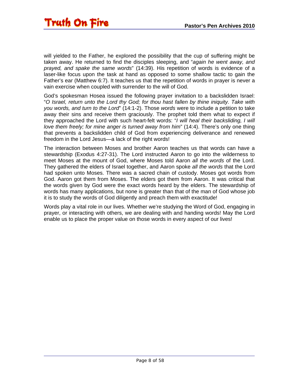will yielded to the Father, he explored the possibility that the cup of suffering might be taken away. He returned to find the disciples sleeping, and "*again he went away, and prayed, and spake the same words*" (14:39). His repetition of words is evidence of a laser-like focus upon the task at hand as opposed to some shallow tactic to gain the Father's ear (Matthew 6:7). It teaches us that the repetition of words in prayer is never a vain exercise when coupled with surrender to the will of God.

God's spokesman Hosea issued the following prayer invitation to a backslidden Israel: "*O Israel, return unto the Lord thy God; for thou hast fallen by thine iniquity. Take with you words, and turn to the Lord*" (14:1-2). Those *words* were to include a petition to take away their sins and receive them graciously. The prophet told them what to expect if they approached the Lord with such heart-felt words: "*I will heal their backsliding, I will love them freely; for mine anger is turned away from him*" (14:4). There's only one thing that prevents a backslidden child of God from experiencing deliverance and renewed freedom in the Lord Jesus—a lack of the right words!

The interaction between Moses and brother Aaron teaches us that words can have a stewardship (Exodus 4:27-31). The Lord instructed Aaron to go into the wilderness to meet Moses at the mount of God, where Moses told Aaron *all the words* of the Lord. They gathered the elders of Israel together, and Aaron spoke *all the words* that the Lord had spoken unto Moses. There was a sacred chain of custody. Moses got words from God. Aaron got them from Moses. The elders got them from Aaron. It was critical that the words given by God were the exact words heard by the elders. The stewardship of words has many applications, but none is greater than that of the man of God whose job it is to study the words of God diligently and preach them with exactitude!

Words play a vital role in our lives. Whether we're studying the Word of God, engaging in prayer, or interacting with others, we are dealing with and handing words! May the Lord enable us to place the proper value on those words in every aspect of our lives!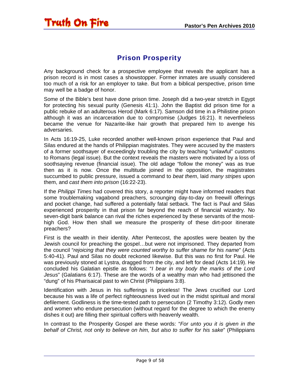### Prison Prosperity

<span id="page-8-0"></span>Any background check for a prospective employee that reveals the applicant has a prison record is in most cases a showstopper. Former inmates are usually considered too much of a risk for an employer to take. But from a biblical perspective, prison time may well be a badge of honor.

Some of the Bible's best have done prison time. Joseph did a two-year stretch in Egypt for protecting his sexual purity (Genesis 41:1). John the Baptist did prison time for a public rebuke of an adulterous Herod (Mark 6:17). Samson did time in a Philistine prison although it was an incarceration due to compromise (Judges 16:21). It nevertheless became the venue for Nazarite-like hair growth that prepared him to avenge his adversaries.

In Acts 16:19-25, Luke recorded another well-known prison experience that Paul and Silas endured at the hands of Philippian magistrates. They were accused by the masters of a former soothsayer of exceedingly troubling the city by teaching "unlawful" customs to Romans (legal issue). But the context reveals the masters were motivated by a loss of soothsaying revenue (financial issue). The old adage "follow the money" was as true then as it is now. Once the multitude joined in the opposition, the magistrates succumbed to public pressure, issued a command to *beat them*, laid *many stripes* upon them, and *cast them into prison* (16:22-23).

If the *Philippi Times* had covered this story, a reporter might have informed readers that some troublemaking vagabond preachers, scrounging day-to-day on freewill offerings and pocket change, had suffered a potentially fatal setback. The fact is Paul and Silas experienced prosperity in that prison far beyond the reach of financial wizardry. No seven-digit bank balance can rival the riches experienced by these servants of the mosthigh God. How then shall we measure the prosperity of these dirt-poor itinerate preachers?

First is the wealth in their identity. After Pentecost, the apostles were beaten by the Jewish council for preaching the gospel…but were not imprisoned. They departed from the council "*rejoicing that they were counted worthy to suffer shame for his name*" (Acts 5:40-41). Paul and Silas no doubt reckoned likewise. But this was no first for Paul. He was previously stoned at Lystra, dragged from the city, and left for dead (Acts 14:19). He concluded his Galatian epistle as follows: "*I bear in my body the marks of the Lord Jesus*" (Galatians 6:17). These are the words of a wealthy man who had jettisoned the "dung" of his Pharisaical past to win Christ (Philippians 3:8).

Identification with Jesus in his sufferings is priceless! The Jews crucified our Lord because his was a life of perfect righteousness lived out in the midst spiritual and moral defilement. Godliness is the time-tested path to persecution (2 Timothy 3:12). Godly men and women who endure persecution (without regard for the degree to which the enemy dishes it out) are filling their spiritual coffers with heavenly wealth.

In contrast to the Prosperity Gospel are these words: "*For unto you it is given in the behalf of Christ, not only to believe on him, but also to suffer for his sake*" (Philippians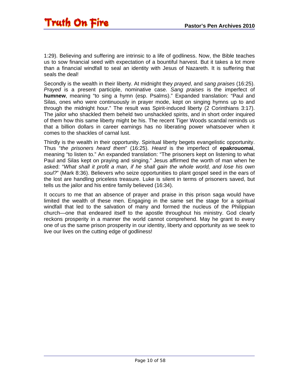1:29). Believing and suffering are intrinsic to a life of godliness. Now, the Bible teaches us to sow financial seed with expectation of a bountiful harvest. But it takes a lot more than a financial windfall to seal an identity with Jesus of Nazareth. It is suffering that seals the deal!

Secondly is the wealth in their liberty. At midnight they *prayed*, and *sang praises* (16:25). *Prayed* is a present participle, nominative case. *Sang praises* is the imperfect of **humnew**, meaning "to sing a hymn (esp. Psalms)." Expanded translation: "Paul and Silas, ones who were continuously in prayer mode, kept on singing hymns up to and through the midnight hour." The result was Spirit-induced liberty (2 Corinthians 3:17). The jailor who shackled them beheld two unshackled spirits, and in short order inquired of them how this same liberty might be his. The recent Tiger Woods scandal reminds us that a billion dollars in career earnings has no liberating power whatsoever when it comes to the shackles of carnal lust.

Thirdly is the wealth in their opportunity. Spiritual liberty begets evangelistic opportunity. Thus "*the prisoners heard them*" (16:25). *Heard* is the imperfect of **epakrouomai**, meaning "to listen to." An expanded translation: "The prisoners kept on listening to what Paul and Silas kept on praying and singing." Jesus affirmed the worth of man when he asked: "*What shall it profit a man, if he shall gain the whole world, and lose his own soul?*" (Mark 8:36). Believers who seize opportunities to plant gospel seed in the ears of the lost are handling priceless treasure. Luke is silent in terms of prisoners saved, but tells us the jailor and his entire family believed (16:34).

It occurs to me that an absence of prayer and praise in this prison saga would have limited the wealth of these men. Engaging in the same set the stage for a spiritual windfall that led to the salvation of many and formed the nucleus of the Philippian church—one that endeared itself to the apostle throughout his ministry. God clearly reckons prosperity in a manner the world cannot comprehend. May he grant to every one of us the same prison prosperity in our identity, liberty and opportunity as we seek to live our lives on the cutting edge of godliness!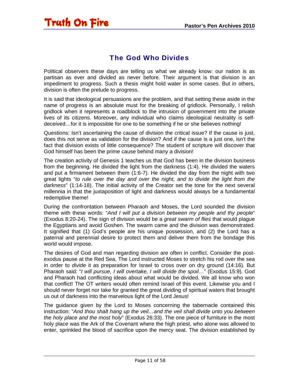#### The God Who Divides

<span id="page-10-0"></span>Political observers these days are telling us what we already know: our nation is as partisan as ever and divided as never before. Their argument is that division is an impediment to progress. Such a thesis might hold water in some cases. But in others, division is often the prelude to progress.

It is said that ideological persuasions are the problem, and that setting these aside in the name of progress is an absolute must for the breaking of gridlock. Personally, I relish gridlock when it represents a roadblock to the intrusion of government into the private lives of its citizens. Moreover, any individual who claims ideological neutrality is selfdeceived…for it is impossible for one to be something if he or she believes nothing!

Questions: Isn't ascertaining the cause of division the critical issue? If the cause is just, does this not serve as validation for the division? And if the cause is a just one, isn't the fact that division exists of little consequence? The student of scripture will discover that God himself has been the prime cause behind many a division!

The creation activity of Genesis 1 teaches us that God has been in the division business from the beginning. He divided the light from the darkness (1:4). He divided the waters and put a firmament between them (1:6-7). He divided the day from the night with two great lights "*to rule over the day and over the night, and to divide the light from the darkness*" (1:14-18). The initial activity of the Creator set the tone for the next several millennia in that the juxtaposition of light and darkness would always be a fundamental redemptive theme!

During the confrontation between Pharaoh and Moses, the Lord sounded the division theme with these words: "*And I will put a division between my people and thy people*" (Exodus 8:20-24). The sign of division would be a *great swarm of flies* that would plague the Egyptians and avoid Goshen. The swarm came and the division was demonstrated. It signified that (1) God's people are his unique possession, and (2) the Lord has a paternal and perennial desire to protect them and deliver them from the bondage this world would impose.

The desires of God and man regarding division are often in conflict. Consider the postexodus pause at the Red Sea. The Lord instructed Moses to stretch his rod over the sea in order to *divide* it as preparation for Israel to cross over on dry ground (14:16). But Pharaoh said: "*I will pursue, I will overtake, I will divide the spoil…*" (Exodus 15:9). God and Pharaoh had conflicting ideas about what would be divided. We all know who won that conflict! The OT writers would often remind Israel of this event. Likewise you and I should never forget nor take for granted the great dividing of spiritual waters that brought us out of darkness into the marvelous light of the Lord Jesus!

The guidance given by the Lord to Moses concerning the tabernacle contained this instruction: "*And thou shalt hang up the veil…and the veil shall divide unto you between the holy place and the most holy*" (Exodus 26:33). The one piece of furniture in the most holy place was the Ark of the Covenant where the high priest, who alone was allowed to enter, sprinkled the blood of sacrifice upon the mercy seat. The division established by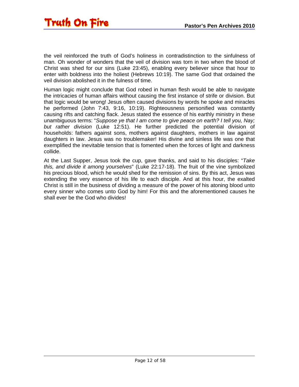the veil reinforced the truth of God's holiness in contradistinction to the sinfulness of man. Oh wonder of wonders that the veil of division was torn in two when the blood of Christ was shed for our sins (Luke 23:45), enabling every believer since that hour to enter with boldness into the holiest (Hebrews 10:19). The same God that ordained the veil division abolished it in the fulness of time.

Human logic might conclude that God robed in human flesh would be able to navigate the intricacies of human affairs without causing the first instance of strife or division. But that logic would be wrong! Jesus often caused divisions by words he spoke and miracles he performed (John 7:43, 9:16, 10:19). Righteousness personified was constantly causing rifts and catching flack. Jesus stated the essence of his earthly ministry in these unambiguous terms: "*Suppose ye that I am come to give peace on earth? I tell you, Nay; but rather division* (Luke 12:51). He further predicted the potential division of households: fathers against sons, mothers against daughters, mothers in law against daughters in law. Jesus was no troublemaker! His divine and sinless life was one that exemplified the inevitable tension that is fomented when the forces of light and darkness collide.

At the Last Supper, Jesus took the cup, gave thanks, and said to his disciples: "*Take this, and divide it among yourselves*" (Luke 22:17-18). The fruit of the vine symbolized his precious blood, which he would shed for the remission of sins. By this act, Jesus was extending the very essence of his life to each disciple. And at this hour, the exalted Christ is still in the business of dividing a measure of the power of his atoning blood unto every sinner who comes unto God by him! For this and the aforementioned causes he shall ever be the God who divides!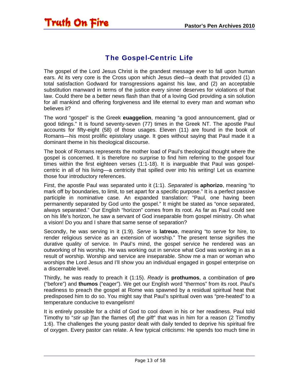### The Gospel-Centric Life

<span id="page-12-0"></span>The gospel of the Lord Jesus Christ is the grandest message ever to fall upon human ears. At its very core is the Cross upon which Jesus died—a death that provided (1) a total satisfaction Godward for transgressions against his law, and (2) an acceptable substitution manward in terms of the justice every sinner deserves for violations of that law. Could there be a better news flash than that of a loving God providing a sin solution for all mankind and offering forgiveness and life eternal to every man and woman who believes it?

The word "gospel" is the Greek **euaggelion**, meaning "a good announcement, glad or good tidings." It is found seventy-seven (77) times in the Greek NT. The apostle Paul accounts for fifty-eight (58) of those usages. Eleven (11) are found in the book of Romans—his most prolific epistolary usage. It goes without saying that Paul made it a dominant theme in his theological discourse.

The book of Romans represents the mother load of Paul's theological thought where the gospel is concerned. It is therefore no surprise to find him referring to the gospel four times within the first eighteen verses (1:1-18). It is inarguable that Paul was gospelcentric in all of his living—a centricity that spilled over into his writing! Let us examine those four introductory references.

First, the apostle Paul was separated unto it (1:1). *Separated* is **aphorizo**, meaning "to mark off by boundaries, to limit, to set apart for a specific purpose." It is a perfect passive participle in nominative case. An expanded translation: "Paul, one having been permanently separated by God unto the gospel." It might be stated as "once separated, always separated." Our English "horizon" comes from its root. As far as Paul could see on his life's horizon, he saw a servant of God inseparable from gospel ministry. Oh what a vision! Do you and I share that same sense of separation?

Secondly, he was serving in it (1:9). *Serve* is **latreuo**, meaning "to serve for hire, to render religious service as an extension of worship." The present tense signifies the durative quality of service. In Paul's mind, the gospel service he rendered was an outworking of his worship. He was working out in service what God was working in as a result of worship. Worship and service are inseparable. Show me a man or woman who worships the Lord Jesus and I'll show you an individual engaged in gospel enterprise on a discernable level.

Thirdly, he was ready to preach it (1:15). *Ready* is **prothumos**, a combination of **pro** ("before") and **thumos** ("eager"). We get our English word "thermos" from its root. Paul's readiness to preach the gospel at Rome was spawned by a residual spiritual heat that predisposed him to do so. You might say that Paul's spiritual oven was "pre-heated" to a temperature conducive to evangelism!

It is entirely possible for a child of God to cool down in his or her readiness. Paul told Timothy to "*stir up* [fan the flames of] *the gift*" that was in him for a reason (2 Timothy 1:6). The challenges the young pastor dealt with daily tended to deprive his spiritual fire of oxygen. Every pastor can relate. A few typical criticisms: He spends too much time in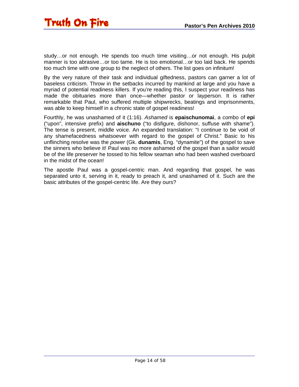study…or not enough. He spends too much time visiting…or not enough. His pulpit manner is too abrasive…or too tame. He is too emotional…or too laid back. He spends too much time with one group to the neglect of others. The list goes on infinitum!

By the very nature of their task and individual giftedness, pastors can garner a lot of baseless criticism. Throw in the setbacks incurred by mankind at large and you have a myriad of potential readiness killers. If you're reading this, I suspect your readiness has made the obituaries more than once—whether pastor or layperson. It is rather remarkable that Paul, who suffered multiple shipwrecks, beatings and imprisonments, was able to keep himself in a chronic state of gospel readiness!

Fourthly, he was unashamed of it (1:16). *Ashamed* is **epaischunomai**, a combo of **epi** ("upon", intensive prefix) and **aischuno** ("to disfigure, dishonor, suffuse with shame"). The tense is present, middle voice. An expanded translation: "I continue to be void of any shamefacedness whatsoever with regard to the gospel of Christ." Basic to his unflinching resolve was the *power* (Gk. **dunamis**, Eng. "dynamite") of the gospel to save the sinners who believe it! Paul was no more ashamed of the gospel than a sailor would be of the life preserver he tossed to his fellow seaman who had been washed overboard in the midst of the ocean!

The apostle Paul was a gospel-centric man. And regarding that gospel, he was separated unto it, serving in it, ready to preach it, and unashamed of it. Such are the basic attributes of the gospel-centric life. Are they ours?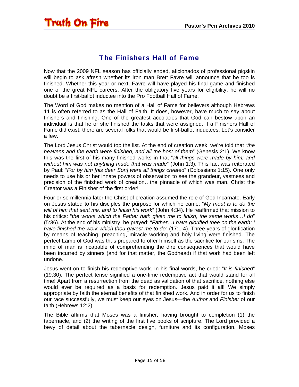#### The Finishers Hall of Fame

<span id="page-14-0"></span>Now that the 2009 NFL season has officially ended, aficionados of professional pigskin will begin to ask afresh whether its iron man Brett Favre will announce that he too is finished. Whether this year or next, Favre will have played his final game and finished one of the great NFL careers. After the obligatory five years for eligibility, he will no doubt be a first-ballot inductee into the Pro Football Hall of Fame.

The Word of God makes no mention of a Hall of Fame for believers although Hebrews 11 is often referred to as the Hall of Faith. It does, however, have much to say about finishers and finishing. One of the greatest accolades that God can bestow upon an individual is that he or she finished the tasks that were assigned. If a Finishers Hall of Fame did exist, there are several folks that would be first-ballot inductees. Let's consider a few.

The Lord Jesus Christ would top the list. At the end of creation week, we're told that "*the heavens and the earth were finished, and all the host of them*" (Genesis 2:1). We know this was the first of his many finished works in that "*all things were made by him; and without him was not anything made that was made*" (John 1:3). This fact was reiterated by Paul: "*For by him [his dear Son] were all things created*" (Colossians 1:15). One only needs to use his or her innate powers of observation to see the grandeur, vastness and precision of the finished work of creation…the pinnacle of which was man. Christ the Creator was a Finisher of the first order!

Four or so millennia later the Christ of creation assumed the role of God Incarnate. Early on Jesus stated to his disciples the purpose for which he came: "*My meat is to do the will of him that sent me, and to finish his work*" (John 4:34). He reaffirmed that mission to his critics: "*the works which the Father hath given me to finish, the same works…I do*" (5:36). At the end of his ministry, he prayed: "*Father…I have glorified thee on the earth: I have finished the work which thou gavest me to do*" (17:1-4). Three years of glorification by means of teaching, preaching, miracle working and holy living were finished. The perfect Lamb of God was thus prepared to offer himself as the sacrifice for our sins. The mind of man is incapable of comprehending the dire consequences that would have been incurred by sinners (and for that matter, the Godhead) if that work had been left undone.

Jesus went on to finish his redemptive work. In his final words, he cried: "*It is finished*" (19:30). The perfect tense signified a one-time redemptive act that would stand for all time! Apart from a resurrection from the dead as validation of that sacrifice, nothing else would ever be required as a basis for redemption. Jesus paid it all! We simply appropriate by faith the eternal benefits of that finished work. And in order for us to finish our race successfully, we must keep our eyes on Jesus—the *Author* and *Finisher* of our faith (Hebrews 12:2).

The Bible affirms that Moses was a finisher, having brought to completion (1) the tabernacle, and (2) the writing of the first five books of scripture. The Lord provided a bevy of detail about the tabernacle design, furniture and its configuration. Moses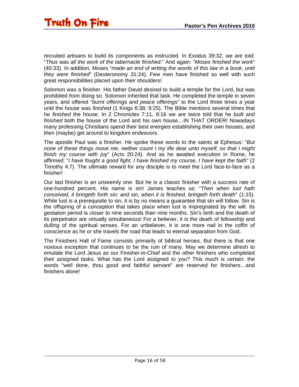recruited artisans to build its components as instructed. In Exodus 39:32, we are told: "*Thus was all the work of the tabernacle finished*." And again: "*Moses finished the work*" (40:33). In addition, Moses "*made an end of writing the words of this law in a book, until they were finished*" (Deuteronomy 31:24). Few men have finished so well with such great responsibilities placed upon their shoulders!

Solomon was a finisher. His father David desired to build a temple for the Lord, but was prohibited from doing so. Solomon inherited that task. He completed the temple in seven years, and offered "*burnt offerings and peace offerings*" to the Lord three times a year until the house was *finished* (1 Kings 6:38; 9:25). The Bible mentions several times that he *finished* the house. In 2 Chronicles 7:11, 8:16 we are twice told that he *built* and *finished* both the house of the Lord and his own house…IN THAT ORDER! Nowadays many professing Christians spend their best energies establishing their own houses, and then (maybe) get around to kingdom endeavors.

The apostle Paul was a finisher. He spoke these words to the saints at Ephesus: "*But none of these things move me, neither count I my life dear unto myself, so that I might finish my course with joy*" (Acts 20:24). And as he awaited execution in Rome, he affirmed: "*I have fought a good fight, I have finished my course, I have kept the faith*" (2 Timothy 4:7). The ultimate reward for any disciple is to meet the Lord face-to-face as a finisher!

Our last finisher is an unseemly one. But he is a classic finisher with a success rate of one-hundred percent. His name is sin! James teaches us: "*Then when lust hath conceived, it bringeth forth sin: and sin, when it is finished, bringeth forth death*" (1:15). While lust is a prerequisite to sin, it is by no means a guarantee that sin will follow. Sin is the offspring of a conception that takes place when lust is impregnated by the will. Its gestation period is closer to nine seconds than nine months. Sin's birth and the death of its perpetrator are virtually simultaneous! For a believer, it is the death of fellowship and dulling of the spiritual senses. For an unbeliever, it is one more nail in the coffin of conscience as he or she travels the road that leads to eternal separation from God.

The Finishers Hall of Fame consists primarily of biblical heroes. But there is that one noxious exception that continues to be the ruin of many. May we determine afresh to emulate the Lord Jesus as our Finisher-in-Chief and the other finishers who completed their assigned tasks. What has the Lord assigned to you? This much is certain: the words "well done, thou good and faithful servant" are reserved for finishers…and finishers alone!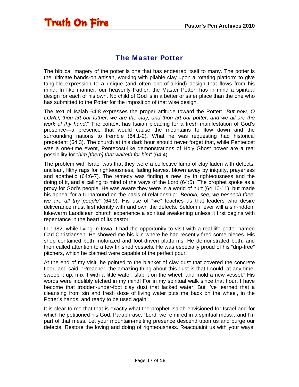<span id="page-16-0"></span>

#### The Master Potter

The biblical imagery of the potter is one that has endeared itself to many. The potter is the ultimate hands-on artisan, working with pliable clay upon a rotating platform to give tangible expression to a unique (and often one-of-a-kind) design that flows from his mind. In like manner, our heavenly Father, the Master Potter, has in mind a spiritual design for each of his own. No child of God is in a better or safer place than the one who has submitted to the Potter for the imposition of that wise design.

The text of Isaiah 64:8 expresses the proper attitude toward the Potter: "*But now, O LORD, thou art our father; we are the clay, and thou art our potter; and we all are the work of thy hand*." The context has Isaiah pleading for a fresh manifestation of God's presence—a presence that would cause the mountains to flow down and the surrounding nations to tremble (64:1-2). What he was requesting had historical precedent (64:3). The church at this dark hour should never forget that, while Pentecost was a one-time event, Pentecost-like demonstrations of Holy Ghost power are a real possibility for "*him [them] that waiteth for him*" (64:4).

The problem with Israel was that they were a collective lump of clay laden with defects: unclean, filthy rags for righteousness, fading leaves, blown away by iniquity, prayerless and apathetic (64:6-7). The remedy was finding a new joy in righteousness and the doing of it, and a calling to mind of the ways of the Lord (64:5). The prophet spoke as a proxy for God's people. He was aware they were in a world of hurt (64:10-11), but made his appeal for a turnaround on the basis of relationship: "*Behold, see, we beseech thee, we are all thy people*" (64:9). His use of "*we*" teaches us that leaders who desire deliverance must first identify with and own the defects. Seldom if ever will a sin-ridden, lukewarm Laodicean church experience a spiritual awakening unless it first begins with repentance in the heart of its pastor!

In 1982, while living in Iowa, I had the opportunity to visit with a real-life potter named Carl Christiansen. He showed me his kiln where he had recently fired some pieces. His shop contained both motorized and foot-driven platforms. He demonstrated both, and then called attention to a few finished vessels. He was especially proud of his "drip-free" pitchers, which he claimed were capable of the perfect pour.

At the end of my visit, he pointed to the blanket of clay dust that covered the concrete floor, and said: "Preacher, the amazing thing about this dust is that I could, at any time, sweep it up, mix it with a little water, slap it on the wheel, and mold a new vessel." His words were indelibly etched in my mind! For in my spiritual walk since that hour, I have become that trodden-under-foot clay dust that lacked water. But I've learned that a cleansing from sin and fresh dose of living water puts me back on the wheel, in the Potter's hands, and ready to be used again!

It is clear to me that that is exactly what the prophet Isaiah envisioned for Israel and for which he petitioned his God. Paraphrase: "Lord, we're mired in a spiritual mess…and I'm part of that mess. Let your mountain-melting presence descend upon us and purge our defects! Restore the loving and doing of righteousness. Reacquaint us with your ways.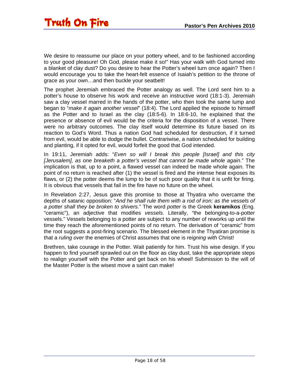We desire to reassume our place on your pottery wheel, and to be fashioned according to your good pleasure! Oh God, please make it so!" Has your walk with God turned into a blanket of clay dust? Do you desire to hear the Potter's wheel turn once again? Then I would encourage you to take the heart-felt essence of Isaiah's petition to the throne of grace as your own…and then buckle your seatbelt!

The prophet Jeremiah embraced the Potter analogy as well. The Lord sent him to a potter's house to observe his work and receive an instructive word (18:1-3). Jeremiah saw a clay vessel marred in the hands of the potter, who then took the same lump and began to "*make it again another vessel*" (18:4). The Lord applied the episode to himself as the Potter and to Israel as the clay (18:5-6). In 18:6-10, he explained that the presence or absence of evil would be the criteria for the disposition of a vessel. There were no arbitrary outcomes. The clay itself would determine its future based on its reaction to God's Word. Thus a nation God had scheduled for destruction, if it turned from evil, would be able to dodge the bullet. Contrariwise, a nation scheduled for building and planting, if it opted for evil, would forfeit the good that God intended.

In 19:11, Jeremiah adds: "*Even so will I break this people [Israel] and this city [Jerusalem], as one breaketh a potter's vessel that cannot be made whole again*." The implication is that, up to a point, a flawed vessel can indeed be made whole again. The point of no return is reached after (1) the vessel is fired and the intense heat exposes its flaws, or (2) the potter deems the lump to be of such poor quality that it is unfit for firing. It is obvious that vessels that fail in the fire have no future on the wheel.

In Revelation 2:27, Jesus gave this promise to those at Thyatira who overcame the depths of satanic opposition: "*And he shall rule them with a rod of iron; as the vessels of a potter shall they be broken to shivers.*" The word *potter* is the Greek **keramikos** (Eng. "ceramic"), an adjective that modifies *vessels*. Literally, "the belonging-to-a-potter vessels." Vessels belonging to a potter are subject to any number of reworks up until the time they reach the aforementioned points of no return. The derivation of "ceramic" from the root suggests a post-firing scenario. The blessed element in the Thyatiran promise is that a *ruling over* the enemies of Christ assumes that one is *reigning with* Christ!

Brethren, take courage in the Potter. Wait patiently for him. Trust his wise design. If you happen to find yourself sprawled out on the floor as clay dust, take the appropriate steps to realign yourself with the Potter and get back on his wheel! Submission to the will of the Master Potter is the wisest move a saint can make!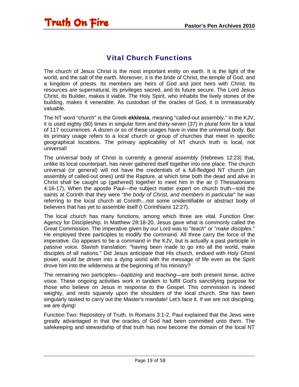### Vital Church Functions

<span id="page-18-0"></span>The church of Jesus Christ is the most important entity on earth. It is the light of the world, and the salt of the earth. Moreover, it is the bride of Christ, the temple of God, and a kingdom of priests. Its members are heirs of God and joint heirs with Christ. Its resources are supernatural, its privileges sacred, and its future secure. The Lord Jesus Christ, its Builder, makes it viable. The Holy Spirit, who inhabits the lively stones of the building, makes it venerable. As custodian of the oracles of God, it is immeasurably valuable.

The NT word "church" is the Greek **ekklesia**, meaning "called-out assembly." In the KJV, it is used eighty (80) times in singular form and thirty-seven (37) in plural form for a total of 117 occurrences. A dozen or so of these usages have in view the universal body. But its primary usage refers to a local church or group of churches that meet in specific geographical locations. The primary applicability of NT church truth is local, not universal!

The *universal* body of Christ is currently a *general* assembly (Hebrews 12:23) that, unlike its local counterpart, has never gathered itself together into one place. The church universal (or general) will not have the credentials of a full-fledged NT church (an assembly of called-out ones) until the Rapture, at which time both the dead and alive in Christ shall be caught up (gathered) together to meet him in the air (I Thessalonians 4:16-17). When the apostle Paul—the subject matter expert on church truth—told the saints at Corinth that they were "*the body of Christ, and members in particular*" he was referring to the local church at Corinth…not some unidentifiable or abstract body of believers that has yet to assemble itself (I Corinthians 12:27).

The local church has many functions, among which three are vital. Function One: Agency for Discipleship. In Matthew 28:18-20, Jesus gave what is commonly called the Great Commission. The imperative given by our Lord was to "*teach*" or "*make disciples*." He employed three participles to modify the command. All three carry the force of the imperative. *Go* appears to be a command in the KJV, but is actually a past participle in passive voice. Slavish translation: "having been made to go into all the world, make disciples of all nations." Did Jesus anticipate that His church, endued with Holy Ghost power, would be driven into a dying world with the message of life even as the Spirit drove him into the wilderness at the beginning of his ministry?

The remaining two participles—*baptizing* and *teaching*—are both present tense, active voice. These ongoing activities work in tandem to fulfill God's sanctifying purpose for those who believe on Jesus in response to the Gospel. This commission is indeed weighty, and rests squarely upon the shoulders of the local church. She has been singularly tasked to carry out the Master's mandate! Let's face it. If we are not discipling, we are dying!

Function Two: Repository of Truth. In Romans 3:1-2, Paul explained that the Jews were greatly advantaged in that the oracles of God had been committed unto them. The safekeeping and stewardship of that truth has now become the domain of the local NT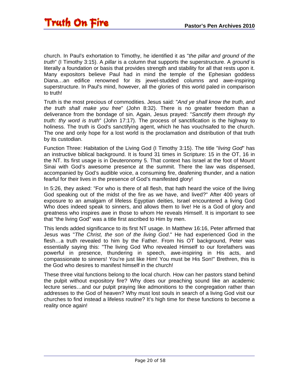church. In Paul's exhortation to Timothy, he identified it as "*the pillar and ground of the truth*" (I Timothy 3:15). A *pillar* is a column that supports the superstructure. A *ground* is literally a foundation or basis that provides strength and stability for all that rests upon it. Many expositors believe Paul had in mind the temple of the Ephesian goddess Diana…an edifice renowned for its jewel-studded columns and awe-inspiring superstructure. In Paul's mind, however, all the glories of this world paled in comparison to truth!

Truth is the most precious of commodities. Jesus said: "*And ye shall know the truth, and the truth shall make you free*" (John 8:32). There is no greater freedom than a deliverance from the bondage of sin. Again, Jesus prayed: "*Sanctify them through thy truth: thy word is truth*" (John 17:17). The process of sanctification is the highway to holiness. The truth is God's sanctifying agent, which he has vouchsafed to the church. The one and only hope for a lost world is the proclamation and distribution of that truth by its custodian.

Function Three: Habitation of the Living God (I Timothy 3:15). The title "*living God*" has an instructive biblical background. It is found 31 times in Scripture: 15 in the OT, 16 in the NT. Its first usage is in Deuteronomy 5. That context has Israel at the foot of Mount Sinai with God's awesome presence at the summit. There the law was dispensed, accompanied by God's audible voice, a consuming fire, deafening thunder, and a nation fearful for their lives in the presence of God's manifested glory!

In 5:26, they asked: "For who is there of all flesh, that hath heard the voice of the living God speaking out of the midst of the fire as we have, and lived?" After 400 years of exposure to an amalgam of lifeless Egyptian deities, Israel encountered a living God Who does indeed speak to sinners, and allows them to live! He is a God of glory and greatness who inspires awe in those to whom He reveals Himself. It is important to see that "the living God" was a title first ascribed to Him by men.

This lends added significance to its first NT usage. In Matthew 16:16, Peter affirmed that Jesus was "*The Christ, the son of the living God*." He had experienced God in the flesh…a truth revealed to him by the Father. From his OT background, Peter was essentially saying this: "The living God Who revealed Himself to our forefathers was powerful in presence, thundering in speech, awe-inspiring in His acts, and compassionate to sinners! You're just like Him! You must be His Son!" Brethren, this is the God who desires to manifest himself in the church!

These three vital functions belong to the local church. How can her pastors stand behind the pulpit without expository fire? Why does our preaching sound like an academic lecture series…and our pulpit praying like admonitions to the congregation rather than addresses to the God of heaven? Why must lost souls in search of a living God visit our churches to find instead a lifeless routine? It's high time for these functions to become a reality once again!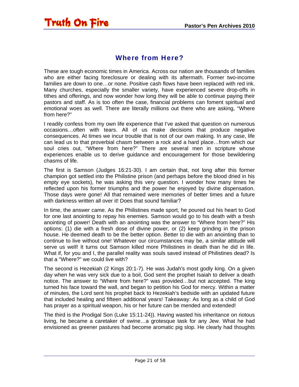<span id="page-20-0"></span>

#### Where from Here?

These are tough economic times in America. Across our nation are thousands of families who are either facing foreclosure or dealing with its aftermath. Former two-income families are down to one…or none. Positive cash flows have been replaced with red ink. Many churches, especially the smaller variety, have experienced severe drop-offs in tithes and offerings, and now wonder how long they will be able to continue paying their pastors and staff. As is too often the case, financial problems can foment spiritual and emotional woes as well. There are literally millions out there who are asking, "Where from here?"

I readily confess from my own life experience that I've asked that question on numerous occasions…often with tears. All of us make decisions that produce negative consequences. At times we incur trouble that is not of our own making. In any case, life can lead us to that proverbial chasm between a rock and a hard place…from which our soul cries out, "Where from here?" There are several men in scripture whose experiences enable us to derive guidance and encouragement for those bewildering chasms of life.

The first is Samson (Judges 16:21-30). I am certain that, not long after this former champion got settled into the Philistine prison (and perhaps before the blood dried in his empty eye sockets), he was asking this very question. I wonder how many times he reflected upon his former triumphs and the power he enjoyed by divine dispensation. Those days were gone! All that remained were memories of better times and a future with darkness written all over it! Does that sound familiar?

In time, the answer came. As the Philistines made sport, he poured out his heart to God for one last anointing to repay his enemies. Samson would go to his death with a fresh anointing of power! Death with an anointing was the answer to "Where from here?" His options: (1) die with a fresh dose of divine power, or (2) keep grinding in the prison house. He deemed death to be the better option. Better to die with an anointing than to continue to live without one! Whatever our circumstances may be, a similar attitude will serve us well! It turns out Samson killed more Philistines in death than he did in life. What if, for you and I, the parallel reality was souls saved instead of Philistines dead? Is that a "Where?" we could live with?

The second is Hezekiah (2 Kings 20:1-7). He was Judah's most godly king. On a given day when he was very sick due to a boil, God sent the prophet Isaiah to deliver a death notice. The answer to "Where from here?" was provided…but not accepted. The king turned his face toward the wall, and began to petition his God for mercy. Within a matter of minutes, the Lord sent his prophet back to Hezekiah's bedside with an updated future that included healing and fifteen additional years! Takeaway: As long as a child of God has prayer as a spiritual weapon, his or her future can be mended and extended!

The third is the Prodigal Son (Luke 15:11-24)). Having wasted his inheritance on riotous living, he became a caretaker of swine…a grotesque task for any Jew. What he had envisioned as greener pastures had become aromatic pig slop. He clearly had thoughts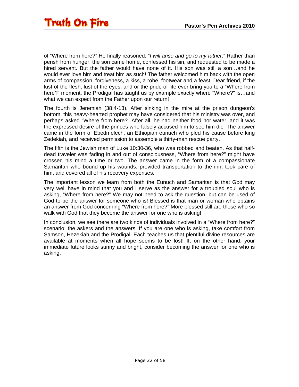of "Where from here?" He finally reasoned: "*I will arise and go to my father*." Rather than perish from hunger, the son came home, confessed his sin, and requested to be made a hired servant. But the father would have none of it. His son was still a son…and he would ever love him and treat him as such! The father welcomed him back with the open arms of compassion, forgiveness, a kiss, a robe, footwear and a feast. Dear friend, if the lust of the flesh, lust of the eyes, and or the pride of life ever bring you to a "Where from here?" moment, the Prodigal has taught us by example exactly where "Where?" is…and what we can expect from the Father upon our return!

The fourth is Jeremiah (38:4-13). After sinking in the mire at the prison dungeon's bottom, this heavy-hearted prophet may have considered that his ministry was over, and perhaps asked "Where from here?" After all, he had neither food nor water, and it was the expressed desire of the princes who falsely accused him to see him die The answer came in the form of Ebedmelech, an Ethiopian eunuch who pled his cause before king Zedekiah, and received permission to assemble a thirty-man rescue party.

The fifth is the Jewish man of Luke 10:30-36, who was robbed and beaten. As that halfdead traveler was fading in and out of consciousness, "Where from here?" might have crossed his mind a time or two. The answer came in the form of a compassionate Samaritan who bound up his wounds, provided transportation to the inn, took care of him, and covered all of his recovery expenses.

The important lesson we learn from both the Eunuch and Samaritan is that God may very well have in mind that you and I serve as the answer for a troubled soul who is asking, "Where from here?" We may not need to ask the question, but can be used of God to be the answer for someone who is! Blessed is that man or woman who obtains an answer from God concerning "Where from here?" More blessed still are those who so walk with God that they become the answer for one who is asking!

In conclusion, we see there are two kinds of individuals involved in a "Where from here?" scenario: the askers and the answers! If you are one who is asking, take comfort from Samson, Hezekiah and the Prodigal. Each teaches us that plentiful divine resources are available at moments when all hope seems to be lost! If, on the other hand, your immediate future looks sunny and bright, consider becoming the answer for one who is asking.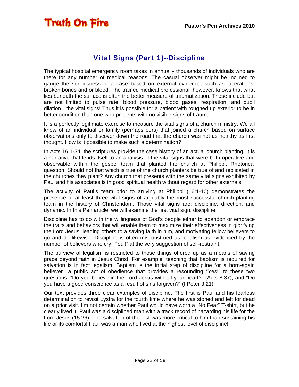### Vital Signs (Part 1)--Discipline

<span id="page-22-0"></span>The typical hospital emergency room takes in annually thousands of individuals who are there for any number of medical reasons. The casual observer might be inclined to gauge the seriousness of a case based on external evidence, such as lacerations, broken bones and or blood. The trained medical professional, however, knows that what lies beneath the surface is often the better measure of traumatization. These include but are not limited to pulse rate, blood pressure, blood gases, respiration, and pupil dilation—the vital signs! Thus it is possible for a patient with roughed up exterior to be in better condition than one who presents with no visible signs of trauma.

It is a perfectly legitimate exercise to measure the vital signs of a church ministry. We all know of an individual or family (perhaps ours) that joined a church based on surface observations only to discover down the road that the church was not as healthy as first thought. How is it possible to make such a determination?

In Acts 16:1-34, the scriptures provide the case history of an actual church planting. It is a narrative that lends itself to an analysis of the vital signs that were both operative and observable within the gospel team that planted the church at Philippi. Rhetorical question: Should not that which is true of the church planters be true of and replicated in the churches they plant? Any church that presents with the same vital signs exhibited by Paul and his associates is in good spiritual health without regard for other externals.

The activity of Paul's team prior to arriving at Philippi (16:1-10) demonstrates the presence of at least three vital signs of arguably the most successful church-planting team in the history of Christendom. Those vital signs are: discipline, direction, and dynamic. In this Pen article, we will examine the first vital sign: discipline.

Discipline has to do with the willingness of God's people either to abandon or embrace the traits and behaviors that will enable them to maximize their effectiveness in glorifying the Lord Jesus, leading others to a saving faith in him, and motivating fellow believers to go and do likewise. Discipline is often misconstrued as legalism as evidenced by the number of believers who cry "Foul!" at the very suggestion of self-restraint.

The purview of legalism is restricted to those things offered up as a means of saving grace beyond faith in Jesus Christ. For example, teaching that baptism is required for salvation is in fact legalism. Baptism is the initial step of discipline for a born-again believer—a public act of obedience that provides a resounding "Yes!" to these two questions: "Do you believe in the Lord Jesus with all your heart?" (Acts 8:37), and "Do you have a good conscience as a result of sins forgiven?" (I Peter 3:21).

Our text provides three clear examples of discipline. The first is Paul and his fearless determination to revisit Lystra for the fourth time where he was stoned and left for dead on a prior visit. I'm not certain whether Paul would have worn a "No Fear" T-shirt, but he clearly lived it! Paul was a disciplined man with a track record of hazarding his life for the Lord Jesus (15:26). The salvation of the lost was more critical to him than sustaining his life or its comforts! Paul was a man who lived at the highest level of discipline!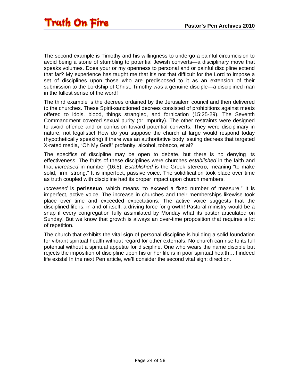The second example is Timothy and his willingness to undergo a painful circumcision to avoid being a stone of stumbling to potential Jewish converts—a disciplinary move that speaks volumes. Does your or my openness to personal and or painful discipline extend that far? My experience has taught me that it's not that difficult for the Lord to impose a set of disciplines upon those who are predisposed to it as an extension of their submission to the Lordship of Christ. Timothy was a genuine disciple—a disciplined man in the fullest sense of the word!

The third example is the decrees ordained by the Jerusalem council and then delivered to the churches. These Spirit-sanctioned decrees consisted of prohibitions against meats offered to idols, blood, things strangled, and fornication (15:25-29). The Seventh Commandment covered sexual purity (or impurity). The other restraints were designed to avoid offence and or confusion toward potential converts. They were disciplinary in nature, not legalistic! How do you suppose the church at large would respond today (hypothetically speaking) if there was an authoritative body issuing decrees that targeted X-rated media, "Oh My God!" profanity, alcohol, tobacco, et al?

The specifics of discipline may be open to debate, but there is no denying its effectiveness. The fruits of these disciplines were churches *established* in the faith and that *increased* in number (16:5). *Established* is the Greek **stereoo**, meaning "to make solid, firm, strong." It is imperfect, passive voice. The solidification took place over time as truth coupled with discipline had its proper impact upon church members.

*Increased* is **perisseuo**, which means "to exceed a fixed number of measure." It is imperfect, active voice. The increase in churches and their memberships likewise took place over time and exceeded expectations. The active voice suggests that the disciplined life is, in and of itself, a driving force for growth! Pastoral ministry would be a snap if every congregation fully assimilated by Monday what its pastor articulated on Sunday! But we know that growth is always an over-time proposition that requires a lot of repetition.

The church that exhibits the vital sign of personal discipline is building a solid foundation for vibrant spiritual health without regard for other externals. No church can rise to its full potential without a spiritual appetite for discipline. One who wears the name disciple but rejects the imposition of discipline upon his or her life is in poor spiritual health…if indeed life exists! In the next Pen article, we'll consider the second vital sign: direction.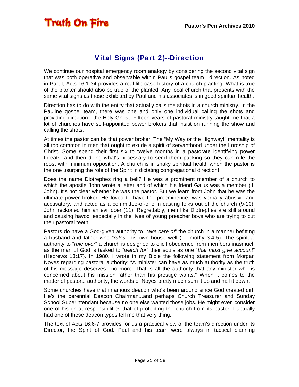### Vital Signs (Part 2)--Direction

<span id="page-24-0"></span>We continue our hospital emergency room analogy by considering the second vital sign that was both operative and observable within Paul's gospel team—direction. As noted in Part I, Acts 16:1-34 provides a real-life case history of a church planting. What is true of the planter should also be true of the planted. Any local church that presents with the same vital signs as those exhibited by Paul and his associates is in good spiritual health.

Direction has to do with the entity that actually calls the shots in a church ministry. In the Pauline gospel team, there was one and only one individual calling the shots and providing direction—the Holy Ghost. Fifteen years of pastoral ministry taught me that a lot of churches have self-appointed power brokers that insist on running the show and calling the shots.

At times the pastor can be that power broker. The "My Way or the Highway!" mentality is all too common in men that ought to exude a spirit of servanthood under the Lordship of Christ. Some spend their first six to twelve months in a pastorate identifying power threats, and then doing what's necessary to send them packing so they can rule the roost with minimum opposition. A church is in shaky spiritual health when the pastor is the one usurping the role of the Spirit in dictating congregational direction!

Does the name Diotrephes ring a bell? He was a prominent member of a church to which the apostle John wrote a letter and of which his friend Gaius was a member (III John). It's not clear whether he was the pastor. But we learn from John that he was the ultimate power broker. He loved to have the preeminence, was verbally abusive and accusatory, and acted as a committee-of-one in casting folks out of the church (9-10). John reckoned him an evil doer (11). Regrettably, men like Diotrephes are still around and causing havoc, especially in the lives of young preacher boys who are trying to cut their pastoral teeth.

Pastors do have a God-given authority to "*take care of*" the church in a manner befitting a husband and father who "*rules*" his own house well (I Timothy 3:4-5). The spiritual authority to "*rule over*" a church is designed to elicit obedience from members inasmuch as the man of God is tasked to "*watch for*" their souls as one "*that must give account*" (Hebrews 13:17). In 1980, I wrote in my Bible the following statement from Morgan Noyes regarding pastoral authority: "A minister can have as much authority as the truth of his message deserves—no more. That is all the authority that any minister who is concerned about his mission rather than his prestige wants." When it comes to the matter of pastoral authority, the words of Noyes pretty much sum it up and nail it down.

Some churches have that infamous deacon who's been around since God created dirt. He's the perennial Deacon Chairman...and perhaps Church Treasurer and Sunday School Superintendant because no one else wanted those jobs. He might even consider one of his great responsibilities that of protecting the church from its pastor. I actually had one of these deacon types tell me that very thing.

The text of Acts 16:6-7 provides for us a practical view of the team's direction under its Director, the Spirit of God. Paul and his team were always in tactical planning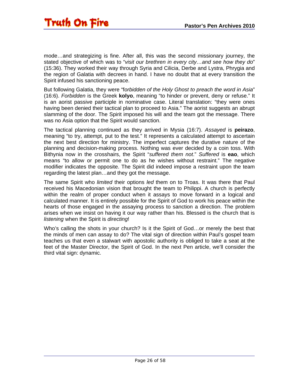mode…and strategizing is fine. After all, this was the second missionary journey, the stated objective of which was to "*visit our brethren in every city…and see how they do*" (15:36). They worked their way through Syria and Cilicia, Derbe and Lystra, Phrygia and the region of Galatia with decrees in hand. I have no doubt that at every transition the Spirit infused his sanctioning peace.

But following Galatia, they were "f*orbidden of the Holy Ghost to preach the word in Asia*" (16:6). *Forbidden* is the Greek **kolyo**, meaning "to hinder or prevent, deny or refuse." It is an aorist passive participle in nominative case. Literal translation: "they were ones having been denied their tactical plan to proceed to Asia." The aorist suggests an abrupt slamming of the door. The Spirit imposed his will and the team got the message. There was no Asia option that the Spirit would sanction.

The tactical planning continued as they arrived in Mysia (16:7). *Assayed* is **peirazo**, meaning "to try, attempt, put to the test." It represents a calculated attempt to ascertain the next best direction for ministry. The imperfect captures the durative nature of the planning and decision-making process. Nothing was ever decided by a coin toss. With Bithynia now in the crosshairs, the Spirit "*suffered them not*." *Suffered* is **eao**, which means "to allow or permit one to do as he wishes without restraint." The negative modifier indicates the opposite. The Spirit did indeed impose a restraint upon the team regarding the latest plan…and they got the message.

The same Spirit who *limited* their options *led* them on to Troas. It was there that Paul received his Macedonian vision that brought the team to Philippi. A church is perfectly within the realm of proper conduct when it assays to move forward in a logical and calculated manner. It is entirely possible for the Spirit of God to work his peace within the hearts of those engaged in the assaying process to sanction a direction. The problem arises when we insist on having it our way rather than his. Blessed is the church that is *listening* when the Spirit is *directing*!

Who's calling the shots in your church? Is it the Spirit of God…or merely the best that the minds of men can assay to do? The vital sign of direction within Paul's gospel team teaches us that even a stalwart with apostolic authority is obliged to take a seat at the feet of the Master Director, the Spirit of God. In the next Pen article, we'll consider the third vital sign: dynamic.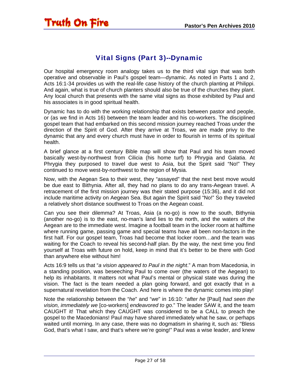### Vital Signs (Part 3)--Dynamic

<span id="page-26-0"></span>Our hospital emergency room analogy takes us to the third vital sign that was both operative and observable in Paul's gospel team—dynamic. As noted in Parts 1 and 2, Acts 16:1-34 provides us with the real-life case history of the church planting at Philippi. And again, what is true of church planters should also be true of the churches they plant. Any local church that presents with the same vital signs as those exhibited by Paul and his associates is in good spiritual health.

Dynamic has to do with the working relationship that exists between pastor and people, or (as we find in Acts 16) between the team leader and his co-workers. The disciplined gospel team that had embarked on this second mission journey reached Troas under the direction of the Spirit of God. After they arrive at Troas, we are made privy to the dynamic that any and every church must have in order to flourish in terms of its spiritual health.

A brief glance at a first century Bible map will show that Paul and his team moved basically west-by-northwest from Cilicia (his home turf) to Phrygia and Galatia. At Phrygia they purposed to travel due west to Asia, but the Spirit said "No!" They continued to move west-by-northwest to the region of Mysia.

Now, with the Aegean Sea to their west, they "assayed" that the next best move would be due east to Bithynia. After all, they had no plans to do any trans-Aegean travel. A retracement of the first mission journey was their stated purpose (15:36), and it did not include maritime activity on Aegean Sea. But again the Spirit said "No!" So they traveled a relatively short distance southwest to Troas on the Aegean coast.

Can you see their dilemma? At Troas, Asia (a no-go) is now to the south, Bithynia (another no-go) is to the east, no-man's land lies to the north, and the waters of the Aegean are to the immediate west. Imagine a football team in the locker room at halftime where running game, passing game and special teams have all been non-factors in the first half. For our gospel team, Troas had become that locker room…and the team was waiting for the Coach to reveal his second-half plan. By the way, the next time you find yourself at Troas with future on hold, keep in mind that it's better to be there with God than anywhere else without him!

Acts 16:9 tells us that "*a vision appeared to Paul in the night*." A man from Macedonia, in a standing position, was beseeching Paul to come over (the waters of the Aegean) to help its inhabitants. It matters not what Paul's mental or physical state was during the vision. The fact is the team needed a plan going forward, and got exactly that in a supernatural revelation from the Coach. And here is where the dynamic comes into play!

Note the relationship between the "*he*" and "*we*" in 16:10: "*after he* [Paul] *had seen the vision, immediately we* [co-workers] *endeavored to go*." The leader SAW it, and the team CAUGHT it! That which they CAUGHT was considered to be a CALL to preach the gospel to the Macedonians! Paul may have shared immediately what he saw, or perhaps waited until morning. In any case, there was no dogmatism in sharing it, such as: "Bless God, that's what I saw, and that's where we're going!" Paul was a wise leader, and knew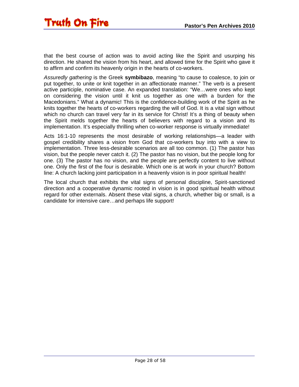that the best course of action was to avoid acting like the Spirit and usurping his direction. He shared the vision from his heart, and allowed time for the Spirit who gave it to affirm and confirm its heavenly origin in the hearts of co-workers.

*Assuredly gathering* is the Greek **symbibazo**, meaning "to cause to coalesce, to join or put together, to unite or knit together in an affectionate manner." The verb is a present active participle, nominative case. An expanded translation: "We…were ones who kept on considering the vision until it knit us together as one with a burden for the Macedonians." What a dynamic! This is the confidence-building work of the Spirit as he knits together the hearts of co-workers regarding the will of God. It is a vital sign without which no church can travel very far in its service for Christ! It's a thing of beauty when the Spirit melds together the hearts of believers with regard to a vision and its implementation. It's especially thrilling when co-worker response is virtually immediate!

Acts 16:1-10 represents the most desirable of working relationships—a leader with gospel credibility shares a vision from God that co-workers buy into with a view to implementation. Three less-desirable scenarios are all too common. (1) The pastor has vision, but the people never catch it. (2) The pastor has no vision, but the people long for one. (3) The pastor has no vision, and the people are perfectly content to live without one. Only the first of the four is desirable. Which one is at work in your church? Bottom line: A church lacking joint participation in a heavenly vision is in poor spiritual health!

The local church that exhibits the vital signs of personal discipline, Spirit-sanctioned direction and a cooperative dynamic rooted in vision is in good spiritual health without regard for other externals. Absent these vital signs, a church, whether big or small, is a candidate for intensive care…and perhaps life support!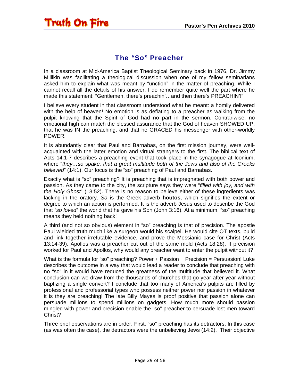<span id="page-28-0"></span>

#### The "So" Preacher

In a classroom at Mid-America Baptist Theological Seminary back in 1976, Dr. Jimmy Millikin was facilitating a theological discussion when one of my fellow seminarians asked him to explain what was meant by "unction" in the matter of preaching. While I cannot recall all the details of his answer, I do remember quite well the part where he made this statement: "Gentlemen, there's preachin'…and then there's PREACHIN'!"

I believe every student in that classroom understood what he meant: a homily delivered with the help of heaven! No emotion is as deflating to a preacher as walking from the pulpit knowing that the Spirit of God had no part in the sermon. Contrariwise, no emotional high can match the blessed assurance that the God of heaven SHOWED UP, that he was IN the preaching, and that he GRACED his messenger with other-worldly POWER!

It is abundantly clear that Paul and Barnabas, on the first mission journey, were wellacquainted with the latter emotion and virtual strangers to the first. The biblical text of Acts 14:1-7 describes a preaching event that took place in the synagogue at Iconium, where "*they…so spake, that a great multitude both of the Jews and also of the Greeks believed*" (14:1). Our focus is the "so" preaching of Paul and Barnabas.

Exactly what is "so" preaching? It is preaching that is impregnated with both power and passion. As they came to the city, the scripture says they were "*filled with joy, and with the Holy Ghost*" (13:52). There is no reason to believe either of these ingredients was lacking in the oratory. *So* is the Greek adverb **houtos**, which signifies the extent or degree to which an action is performed. It is the adverb Jesus used to describe the God that "*so loved*" the world that he gave his Son (John 3:16). At a minimum, "so" preaching means they held nothing back!

A third (and not so obvious) element in "so" preaching is that of precision. The apostle Paul wielded truth much like a surgeon would his scalpel. He would cite OT texts, build and link together irrefutable evidence, and prove the Messianic case for Christ (Acts 13:14-39). Apollos was a preacher cut out of the same mold (Acts 18:28). If precision worked for Paul and Apollos, why would any preacher want to enter the pulpit without it?

What is the formula for "so" preaching? Power + Passion + Precision = Persuasion! Luke describes the outcome in a way that would lead a reader to conclude that preaching with no "so" in it would have reduced the greatness of the multitude that believed it. What conclusion can we draw from the thousands of churches that go year after year without baptizing a single convert? I conclude that too many of America's pulpits are filled by professional and professorial types who possess neither power nor passion in whatever it is they are preaching! The late Billy Mayes is proof positive that passion alone can persuade millions to spend millions on gadgets. How much more should passion mingled with power and precision enable the "so" preacher to persuade lost men toward Christ?

Three brief observations are in order. First, "so" preaching has its detractors. In this case (as was often the case), the detractors were the unbelieving Jews (14:2). Their objective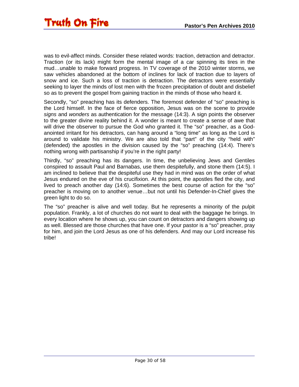was to evil-affect minds. Consider these related words: traction, detraction and detractor. Traction (or its lack) might form the mental image of a car spinning its tires in the mud…unable to make forward progress. In TV coverage of the 2010 winter storms, we saw vehicles abandoned at the bottom of inclines for lack of traction due to layers of snow and ice. Such a loss of traction is detraction. The detractors were essentially seeking to layer the minds of lost men with the frozen precipitation of doubt and disbelief so as to prevent the gospel from gaining traction in the minds of those who heard it.

Secondly, "so" preaching has its defenders. The foremost defender of "so" preaching is the Lord himself. In the face of fierce opposition, Jesus was on the scene to provide *signs* and *wonders* as authentication for the message (14:3). A sign points the observer to the greater divine reality behind it. A wonder is meant to create a sense of awe that will drive the observer to pursue the God who granted it. The "so" preacher, as a Godanointed irritant for his detractors, can hang around a "long time" as long as the Lord is around to validate his ministry. We are also told that "part" of the city "held with" (defended) the apostles in the division caused by the "so" preaching (14:4). There's nothing wrong with partisanship if you're in the right party!

Thirdly, "so" preaching has its dangers. In time, the unbelieving Jews and Gentiles conspired to assault Paul and Barnabas, use them despitefully, and stone them (14:5). I am inclined to believe that the despiteful use they had in mind was on the order of what Jesus endured on the eve of his crucifixion. At this point, the apostles fled the city, and lived to preach another day (14:6). Sometimes the best course of action for the "so" preacher is moving on to another venue…but not until his Defender-In-Chief gives the green light to do so.

The "so" preacher is alive and well today. But he represents a minority of the pulpit population. Frankly, a lot of churches do not want to deal with the baggage he brings. In every location where he shows up, you can count on detractors and dangers showing up as well. Blessed are those churches that have one. If your pastor is a "so" preacher, pray for him, and join the Lord Jesus as one of his defenders. And may our Lord increase his tribe!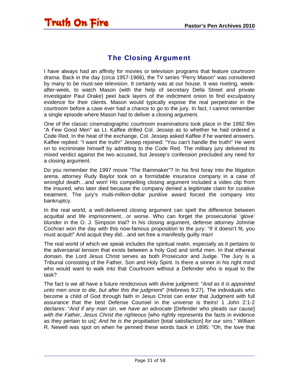### The Closing Argument

<span id="page-30-0"></span>I have always had an affinity for movies or television programs that feature courtroom drama. Back in the day (circa 1957-1966), the TV series "Perry Mason" was considered by many to be must-see television. It certainly was at our house. It was riveting, weekafter-week, to watch Mason (with the help of secretary Della Street and private investigator Paul Drake) peel back layers of the indictment onion to find exculpatory evidence for their clients. Mason would typically expose the real perpetrator in the courtroom before a case ever had a chance to go to the jury. In fact, I cannot remember a single episode where Mason had to deliver a closing argument.

One of the classic cinematographic courtroom examinations took place in the 1992 film "A Few Good Men" as Lt. Kaffee drilled Col. Jessep as to whether he had ordered a Code Red. In the heat of the exchange, Col. Jessep asked Kaffee if he wanted answers. Kaffee replied: "I want the truth!" Jessep rejoined: "You can't handle the truth!" He went on to incriminate himself by admitting to the Code Red. The military jury delivered its mixed verdict against the two accused, but Jessep's confession precluded any need for a closing argument.

Do you remember the 1997 movie "The Rainmaker"? In his first foray into the litigation arena, attorney Rudy Baylor took on a formidable insurance company in a case of wrongful death…and won! His compelling closing argument included a video clip from the insured, who later died because the company denied a legitimate claim for curative treatment. The jury's multi-million-dollar punitive award forced the company into bankruptcy.

In the real world, a well-delivered closing argument can spell the difference between acquittal and life imprisonment…or worse. Who can forget the prosecutorial 'glove' blunder in the O. J. Simpson trial? In his closing argument, defense attorney Johnnie Cochran won the day with this now-famous proposition to the jury: "If it doesn't fit, you must acquit!" And acquit they did…and set free a manifestly guilty man!

The real world of which we speak includes the spiritual realm, especially as it pertains to the adversarial tension that exists between a holy God and sinful men. In that ethereal domain, the Lord Jesus Christ serves as both Prosecutor and Judge. The Jury is a Tribunal consisting of the Father, Son and Holy Spirit. Is there a sinner in his right mind who would want to walk into that Courtroom without a Defender who is equal to the task?

The fact is we all have a future rendezvous with divine judgment: "*And as it is appointed unto men once to die, but after this the judgment*" (Hebrews 9:27). The individuals who become a child of God through faith in Jesus Christ can enter that Judgment with full assurance that the best Defense Counsel in the universe is theirs! 1 John 2:1-2 declares: "*And if any man sin, we have an advocate* [Defender who pleads our cause] *with the Father, Jesus Christ the righteous* [who rightly represents the facts in evidence as they pertain to us]: *And he is the propitiation* [total satisfaction] *for our sins*." William R. Newell was spot on when he penned these words back in 1895: "Oh, the love that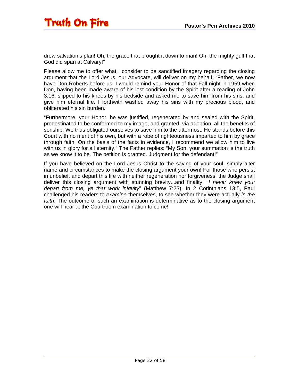drew salvation's plan! Oh, the grace that brought it down to man! Oh, the mighty gulf that God did span at Calvary!"

Please allow me to offer what I consider to be sanctified imagery regarding the closing argument that the Lord Jesus, our Advocate, will deliver on my behalf: "Father, we now have Don Roberts before us. I would remind your Honor of that Fall night in 1959 when Don, having been made aware of his lost condition by the Spirit after a reading of John 3:16, slipped to his knees by his bedside and asked me to save him from his sins, and give him eternal life. I forthwith washed away his sins with my precious blood, and obliterated his sin burden.'

"Furthermore, your Honor, he was justified, regenerated by and sealed with the Spirit, predestinated to be conformed to my image, and granted, via adoption, all the benefits of sonship. We thus obligated ourselves to save him to the uttermost. He stands before this Court with no merit of his own, but with a robe of righteousness imparted to him by grace through faith. On the basis of the facts in evidence, I recommend we allow him to live with us in glory for all eternity." The Father replies: "My Son, your summation is the truth as we know it to be. The petition is granted. Judgment for the defendant!"

If you have believed on the Lord Jesus Christ to the saving of your soul, simply alter name and circumstances to make the closing argument your own! For those who persist in unbelief, and depart this life with neither regeneration nor forgiveness, the Judge shall deliver this closing argument with stunning brevity...and finality: "*I never knew you: depart from me, ye that work iniquity*" (Matthew 7:23). In 2 Corinthians 13:5, Paul challenged his readers to *examine* themselves, to see whether they were actually *in the faith*. The outcome of such an examination is determinative as to the closing argument one will hear at the Courtroom examination to come!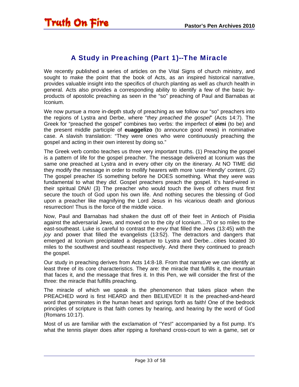### A Study in Preaching (Part 1)--The Miracle

<span id="page-32-0"></span>We recently published a series of articles on the Vital Signs of church ministry, and sought to make the point that the book of Acts, as an inspired historical narrative, provides valuable insight into the specifics of church planting as well as church health in general. Acts also provides a corresponding ability to identify a few of the basic byproducts of apostolic preaching as seen in the "so" preaching of Paul and Barnabas at Iconium.

We now pursue a more in-depth study of preaching as we follow our "so" preachers into the regions of Lystra and Derbe, where "*they preached the gospel*" (Acts 14:7). The Greek for "preached the gospel" combines two verbs: the imperfect of **eimi** (to be) and the present middle participle of **euaggelizo** (to announce good news) in nominative case. A slavish translation: "They were ones who were continuously preaching the gospel and acting in their own interest by doing so."

The Greek verb combo teaches us three very important truths. (1) Preaching the gospel is a pattern of life for the gospel preacher. The message delivered at Iconium was the same one preached at Lystra and in every other city on the itinerary. At NO TIME did they modify the message in order to mollify hearers with more 'user-friendly' content. (2) The gospel preacher IS something before he DOES something. What they *were* was fundamental to what they *did*. Gospel preachers preach the gospel. It's hard-wired in their spiritual DNA! (3) The preacher who would touch the lives of others must first secure the touch of God upon his own life. And nothing secures the blessing of God upon a preacher like magnifying the Lord Jesus in his vicarious death and glorious resurrection! Thus is the force of the middle voice.

Now, Paul and Barnabas had shaken the dust off of their feet in Antioch of Pisidia against the adversarial Jews, and moved on to the city of Iconium…70 or so miles to the east-southeast. Luke is careful to contrast the *envy* that filled the Jews (13:45) with the *joy* and power that filled the evangelists (13:52). The detractors and dangers that emerged at Iconium precipitated a departure to Lystra and Derbe…cities located 30 miles to the southwest and southeast respectively. And there they continued to preach the gospel.

Our study in preaching derives from Acts 14:8-18. From that narrative we can identify at least three of its core characteristics. They are: the miracle that fulfills it, the mountain that faces it, and the message that fires it. In this Pen, we will consider the first of the three: the miracle that fulfills preaching.

The miracle of which we speak is the phenomenon that takes place when the PREACHED word is first HEARD and then BELIEVED! It is the preached-and-heard word that germinates in the human heart and springs forth as faith! One of the bedrock principles of scripture is that faith comes by hearing, and hearing by the word of God (Romans 10:17).

Most of us are familiar with the exclamation of "Yes!" accompanied by a fist pump. It's what the tennis player does after ripping a forehand cross-court to win a game, set or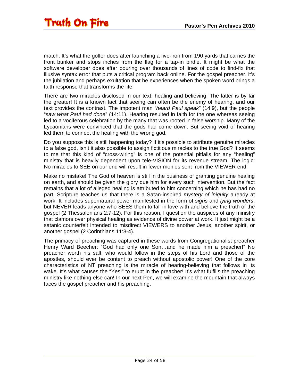match. It's what the golfer does after launching a five-iron from 190 yards that carries the front bunker and stops inches from the flag for a tap-in birdie. It might be what the software developer does after pouring over thousands of lines of code to find-fix that illusive syntax error that puts a critical program back online. For the gospel preacher, it's the jubilation and perhaps exultation that he experiences when the spoken word brings a faith response that transforms the life!

There are two miracles disclosed in our text: healing and believing. The latter is by far the greater! It is a known fact that seeing can often be the enemy of hearing, and our text provides the contrast. The impotent man "*heard Paul speak*" (14:9), but the people "*saw what Paul had done*" (14:11). Hearing resulted in faith for the one whereas seeing led to a vociferous celebration by the many that was rooted in false worship. Many of the Lycaonians were convinced that the gods had come down. But seeing void of hearing led them to connect the healing with the wrong god.

Do you suppose this is still happening today? If it's possible to attribute genuine miracles to a false god, isn't it also possible to assign fictitious miracles to the true God? It seems to me that this kind of "cross-wiring" is one of the potential pitfalls for any "healing" ministry that is heavily dependent upon tele-VISION for its revenue stream. The logic: No miracles to SEE on our end will result in fewer monies sent from the VIEWER end!

Make no mistake! The God of heaven is still in the business of granting genuine healing on earth, and should be given the glory due him for every such intervention. But the fact remains that a lot of alleged healing is attributed to him concerning which he has had no part. Scripture teaches us that there is a Satan-inspired *mystery of iniquity* already at work. It includes supernatural power manifested in the form of *signs* and *lying wonders*, but NEVER leads anyone who SEES them to fall in love with and believe the truth of the gospel (2 Thessalonians 2:7-12). For this reason, I question the auspices of any ministry that clamors over physical healing as evidence of divine power at work. It just might be a satanic counterfeit intended to misdirect VIEWERS to another Jesus, another spirit, or another gospel (2 Corinthians 11:3-4).

The primacy of preaching was captured in these words from Congregationalist preacher Henry Ward Beecher: "God had only one Son…and he made him a preacher!" No preacher worth his salt, who would follow in the steps of his Lord and those of the apostles, should ever be content to preach without apostolic power! One of the core characteristics of NT preaching is the miracle of hearing-believing that follows in its wake. It's what causes the "Yes!" to erupt in the preacher! It's what fulfills the preaching ministry like nothing else can! In our next Pen, we will examine the mountain that always faces the gospel preacher and his preaching.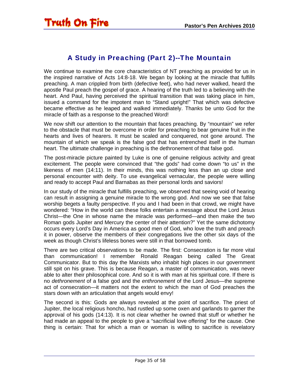#### A Study in Preaching (Part 2)--The Mountain

<span id="page-34-0"></span>We continue to examine the core characteristics of NT preaching as provided for us in the inspired narrative of Acts 14:8-18. We began by looking at the miracle that fulfills preaching. A man crippled from birth (defective feet), who had never walked, heard the apostle Paul preach the gospel of grace. A hearing of the truth led to a believing with the heart. And Paul, having perceived the spiritual transition that was taking place in him, issued a command for the impotent man to "Stand upright!" That which was defective became effective as he leaped and walked immediately. Thanks be unto God for the miracle of faith as a response to the preached Word!

We now shift our attention to the mountain that faces preaching. By "mountain" we refer to the obstacle that must be overcome in order for preaching to bear genuine fruit in the hearts and lives of hearers. It must be scaled and conquered, not gone around. The mountain of which we speak is the false god that has entrenched itself in the human heart. The ultimate challenge in preaching is the dethronement of that false god.

The post-miracle picture painted by Luke is one of genuine religious activity and great excitement. The people were convinced that "the gods" had come down "to us" in the likeness of men (14:11). In their minds, this was nothing less than an up close and personal encounter with deity. To use evangelical vernacular, the people were willing and ready to accept Paul and Barnabas as their personal lords and saviors!

In our study of the miracle that fulfills preaching, we observed that seeing void of hearing can result in assigning a genuine miracle to the wrong god. And now we see that false worship begets a faulty perspective. If you and I had been in that crowd, we might have wondered: "How in the world can these folks entertain a message about the Lord Jesus Christ—the One in whose name the miracle was performed—and then make the two Roman gods Jupiter and Mercury the center of their attention?" Yet the same dichotomy occurs every Lord's Day in America as good men of God, who love the truth and preach it in power, observe the members of their congregations live the other six days of the week as though Christ's lifeless bones were still in that borrowed tomb.

There are two critical observations to be made. The first: Consecration is far more vital than communication! I remember Ronald Reagan being called The Great Communicator. But to this day the Marxists who inhabit high places in our government still spit on his grave. This is because Reagan, a master of communication, was never able to alter their philosophical core. And so it is with man at his spiritual core. If there is no *dethronement* of a false god and the *enthronement* of the Lord Jesus—the supreme act of consecration—it matters not the extent to which the man of God preaches the stars down with an articulation that angels would envy!

The second is this: Gods are always revealed at the point of sacrifice. The priest of Jupiter, the local religious honcho, had rustled up some oxen and garlands to garner the approval of his gods (14:13). It is not clear whether he owned that stuff or whether he had made an appeal to the people to give a "sacrificial love offering" for the cause. One thing is certain: That for which a man or woman is willing to sacrifice is revelatory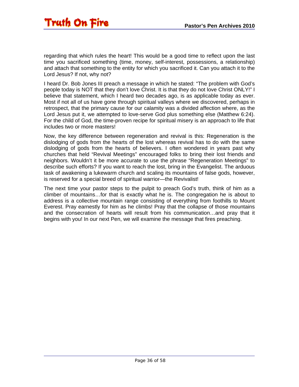regarding that which rules the heart! This would be a good time to reflect upon the last time you sacrificed something (time, money, self-interest, possessions, a relationship) and attach that something to the entity for which you sacrificed it. Can you attach it to the Lord Jesus? If not, why not?

I heard Dr. Bob Jones III preach a message in which he stated: "The problem with God's people today is NOT that they don't love Christ. It is that they do not love Christ ONLY!" I believe that statement, which I heard two decades ago, is as applicable today as ever. Most if not all of us have gone through spiritual valleys where we discovered, perhaps in retrospect, that the primary cause for our calamity was a divided affection where, as the Lord Jesus put it, we attempted to love-serve God plus something else (Matthew 6:24). For the child of God, the time-proven recipe for spiritual misery is an approach to life that includes two or more masters!

Now, the key difference between regeneration and revival is this: Regeneration is the dislodging of gods from the hearts of the lost whereas revival has to do with the same dislodging of gods from the hearts of believers. I often wondered in years past why churches that held "Revival Meetings" encouraged folks to bring their lost friends and neighbors. Wouldn't it be more accurate to use the phrase "Regeneration Meetings" to describe such efforts? If you want to reach the lost, bring in the Evangelist. The arduous task of awakening a lukewarm church and scaling its mountains of false gods, however, is reserved for a special breed of spiritual warrior—the Revivalist!

The next time your pastor steps to the pulpit to preach God's truth, think of him as a climber of mountains…for that is exactly what he is. The congregation he is about to address is a collective mountain range consisting of everything from foothills to Mount Everest. Pray earnestly for him as he climbs! Pray that the collapse of those mountains and the consecration of hearts will result from his communication…and pray that it begins with you! In our next Pen, we will examine the message that fires preaching.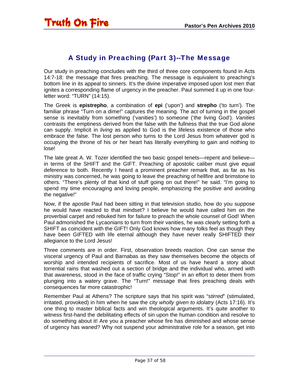### A Study in Preaching (Part 3)--The Message

<span id="page-36-0"></span>Our study in preaching concludes with the third of three core components found in Acts 14:7-18: the message that fires preaching. The message is equivalent to preaching's bottom line in its appeal to sinners. It's the divine imperative imposed upon lost men that ignites a corresponding flame of urgency in the preacher. Paul summed it up in one fourletter word: "TURN" (14:15).

The Greek is **epistrepho**, a combination of **epi** ('upon') and **strepho** ('to turn'). The familiar phrase "Turn on a dime!" captures the meaning. The act of turning in the gospel sense is inevitably from something ('vanities') to someone ('the living God'). *Vanities* contrasts the emptiness derived from the false with the fullness that the true God alone can supply. Implicit in *living* as applied to God is the lifeless existence of those who embrace the false. The lost person who turns to the Lord Jesus from whatever god is occupying the throne of his or her heart has literally everything to gain and nothing to lose!

The late great A. W. Tozer identified the two basic gospel tenets—repent and believe in terms of the SHIFT and the GIFT. Preaching of apostolic caliber must give equal deference to both. Recently I heard a prominent preacher remark that, as far as his ministry was concerned, he was going to leave the preaching of hellfire and brimstone to others. "There's plenty of that kind of stuff going on out there!" he said. "I'm going to spend my time encouraging and loving people, emphasizing the positive and avoiding the negative!"

Now, if the apostle Paul had been sitting in that television studio, how do you suppose he would have reacted to that mindset? I believe he would have called him on the proverbial carpet and rebuked him for failure to preach the whole counsel of God! When Paul admonished the Lycaonians to turn from their vanities, he was clearly setting forth a SHIFT as coincident with the GIFT! Only God knows how many folks feel as though they have been GIFTED with life eternal although they have never really SHIFTED their allegiance to the Lord Jesus!

Three comments are in order. First, observation breeds reaction. One can sense the visceral urgency of Paul and Barnabas as they saw themselves become the objects of worship and intended recipients of sacrifice. Most of us have heard a story about torrential rains that washed out a section of bridge and the individual who, armed with that awareness, stood in the face of traffic crying "Stop!" in an effort to deter them from plunging into a watery grave. The "Turn!" message that fires preaching deals with consequences far more catastrophic!

Remember Paul at Athens? The scripture says that his spirit was "*stirred*" (stimulated, irritated, provoked) in him when he saw the city *wholly given to idolatry* (Acts 17:16). It's one thing to master biblical facts and win theological arguments. It's quite another to witness first-hand the debilitating effects of sin upon the human condition and resolve to do something about it! Are you a preacher whose fire has diminished and whose sense of urgency has waned? Why not suspend your administrative role for a season, get into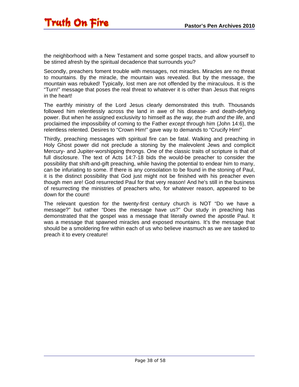the neighborhood with a New Testament and some gospel tracts, and allow yourself to be stirred afresh by the spiritual decadence that surrounds you?

Secondly, preachers foment trouble with messages, not miracles. Miracles are no threat to mountains. By the miracle, the mountain was revealed. But by the message, the mountain was rebuked! Typically, lost men are not offended by the miraculous. It is the "Turn!" message that poses the real threat to whatever it is other than Jesus that reigns in the heart!

The earthly ministry of the Lord Jesus clearly demonstrated this truth. Thousands followed him relentlessly across the land in awe of his disease- and death-defying power. But when he assigned exclusivity to himself as *the way, the truth and the life*, and proclaimed the impossibility of coming to the Father *except* through him (John 14:6), the relentless relented. Desires to "Crown Him!" gave way to demands to "Crucify Him!"

Thirdly, preaching messages with spiritual fire can be fatal. Walking and preaching in Holy Ghost power did not preclude a stoning by the malevolent Jews and complicit Mercury- and Jupiter-worshipping throngs. One of the classic traits of scripture is that of full disclosure. The text of Acts 14:7-18 bids the would-be preacher to consider the possibility that shift-and-gift preaching, while having the potential to endear him to many, can be infuriating to some. If there is any consolation to be found in the stoning of Paul, it is the distinct possibility that God just might not be finished with his preacher even though men are! God resurrected Paul for that very reason! And he's still in the business of resurrecting the ministries of preachers who, for whatever reason, appeared to be down for the count!

The relevant question for the twenty-first century church is NOT "Do we have a message?" but rather "Does the message have us?" Our study in preaching has demonstrated that the gospel was a message that literally owned the apostle Paul. It was a message that spawned miracles and exposed mountains. It's the message that should be a smoldering fire within each of us who believe inasmuch as we are tasked to preach it to every creature!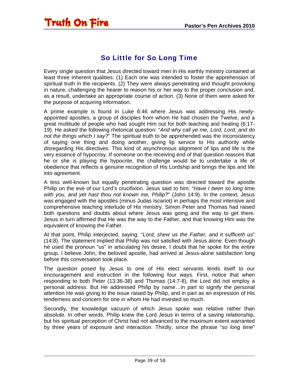### So Little for So Long Time

<span id="page-38-0"></span>Every single question that Jesus directed toward men in His earthly ministry contained at least three inherent qualities: (1) Each one was intended to foster the apprehension of spiritual truth in the recipients. (2) They were always penetrating and thought provoking in nature, challenging the hearer to reason his or her way to the proper conclusion and, as a result, undertake an appropriate course of action. (3) None of them were asked for the purpose of acquiring information.

A prime example is found in Luke 6:46 where Jesus was addressing His newlyappointed apostles, a group of disciples from whom He had chosen the Twelve, and a great multitude of people who had sought Him out for both teaching and healing (6:17- 19). He asked the following rhetorical question: "*And why call ye me, Lord, Lord, and do not the things which I say?*" The spiritual truth to be apprehended was the inconsistency of saying one thing and doing another, giving lip service to His authority while disregarding His directives. This kind of asynchronous alignment of lips and life is the very essence of hypocrisy. If someone on the receiving end of that question reasons that he or she is playing the hypocrite, the challenge would be to undertake a life of obedience that reflects a genuine recognition of His Lordship and brings the lips and life into agreement.

A less well-known but equally penetrating question was directed toward the apostle Philip on the eve of our Lord's crucifixion. Jesus said to him: "*Have I been so long time with you, and yet hast thou not known me, Philip?*" (John 14:9). In the context, Jesus was engaged with the apostles (minus Judas Iscariot) in perhaps the most intensive and comprehensive teaching interlude of His ministry. Simon Peter and Thomas had raised both questions and doubts about where Jesus was going and the way to get there. Jesus in turn affirmed that He was the way to the Father, and that knowing Him was the equivalent of knowing the Father.

At that point, Philip interjected, saying: "*Lord, shew us the Father, and it sufficeth us*" (14:8). The statement implied that Philip was not satisfied with Jesus alone. Even though he used the pronoun "us" in articulating his desire, I doubt that he spoke for the entire group. I believe John, the beloved apostle, had arrived at Jesus-alone satisfaction long before this conversation took place.

The question posed by Jesus to one of His elect servants lends itself to our encouragement and instruction in the following four ways. First, notice that when responding to both Peter (13:36-38) and Thomas (14:7-8), the Lord did not employ a personal address. But He addressed Philip by name…in part to signify the personal attention He was giving to the issue raised by Philip, and in part as an expression of His tenderness and concern for one in whom He had invested so much.

Secondly, the knowledge vacuum of which Jesus spoke was relative rather than absolute. In other words, Philip knew the Lord Jesus in terms of a saving relationship, but his spiritual perception of Christ had not advanced to the maximum extent warranted by three years of exposure and interaction. Thirdly, since the phrase "*so long time*"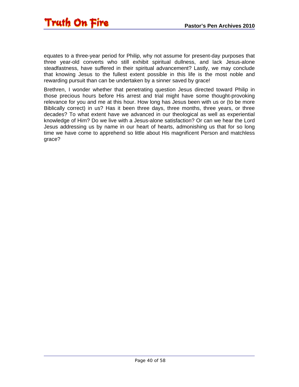

equates to a three-year period for Philip, why not assume for present-day purposes that three year-old converts who still exhibit spiritual dullness, and lack Jesus-alone steadfastness, have suffered in their spiritual advancement? Lastly, we may conclude that knowing Jesus to the fullest extent possible in this life is the most noble and rewarding pursuit than can be undertaken by a sinner saved by grace!

Brethren, I wonder whether that penetrating question Jesus directed toward Philip in those precious hours before His arrest and trial might have some thought-provoking relevance for you and me at this hour. How long has Jesus been with us or (to be more Biblically correct) in us? Has it been three days, three months, three years, or three decades? To what extent have we advanced in our theological as well as experiential knowledge of Him? Do we live with a Jesus-alone satisfaction? Or can we hear the Lord Jesus addressing us by name in our heart of hearts, admonishing us that for so long time we have come to apprehend so little about His magnificent Person and matchless grace?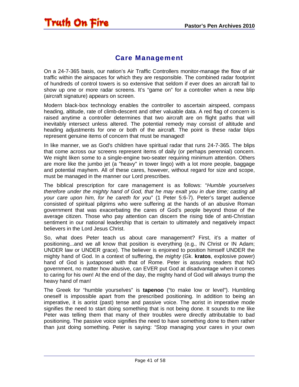#### Care Management

<span id="page-40-0"></span>On a 24-7-365 basis, our nation's Air Traffic Controllers monitor-manage the flow of air traffic within the airspaces for which they are responsible. The combined radar footprint of hundreds of control towers is so extensive that seldom if ever does an aircraft fail to show up one or more radar screens. It's "game on" for a controller when a new blip (aircraft signature) appears on screen.

Modern black-box technology enables the controller to ascertain airspeed, compass heading, altitude, rate of climb-descent and other valuable data. A red flag of concern is raised anytime a controller determines that two aircraft are on flight paths that will inevitably intersect unless altered. The potential remedy may consist of altitude and heading adjustments for one or both of the aircraft. The point is these radar blips represent genuine items of concern that must be managed!

In like manner, we as God's children have spiritual radar that runs 24-7-365. The blips that come across our screens represent items of daily (or perhaps perennial) concern. We might liken some to a single-engine two-seater requiring minimum attention. Others are more like the jumbo jet (a "heavy" in tower lingo) with a lot more people, baggage and potential mayhem. All of these cares, however, without regard for size and scope, must be managed in the manner our Lord prescribes.

The biblical prescription for care management is as follows: "*Humble yourselves therefore under the mighty hand of God, that he may exalt you in due time; casting all your care upon him, for he careth for you*" (1 Peter 5:6-7). Peter's target audience consisted of spiritual pilgrims who were suffering at the hands of an abusive Roman government that was exacerbating the cares of God's people beyond those of the average citizen. Those who pay attention can discern the rising tide of anti-Christian sentiment in our national leadership that is certain to ultimately and negatively impact believers in the Lord Jesus Christ.

So, what does Peter teach us about care management? First, it's a matter of positioning...and we all know that position is everything (e.g., IN Christ or IN Adam; UNDER law or UNDER grace). The believer is enjoined to position himself UNDER the mighty hand of God. In a context of suffering, the *mighty* (Gk. **kratos**, explosive power) hand of God is juxtaposed with that of Rome. Peter is assuring readers that NO government, no matter how abusive, can EVER put God at disadvantage when it comes to caring for his own! At the end of the day, the mighty hand of God will always trump the heavy hand of man!

The Greek for "humble yourselves" is **tapenoo** ("to make low or level"). Humbling oneself is impossible apart from the prescribed positioning. In addition to being an imperative, it is aorist (past) tense and passive voice. The aorist in imperative mode signifies the need to start doing something that is not being done. It sounds to me like Peter was telling them that many of their troubles were directly attributable to bad positioning. The passive voice signifies the need to have something done to them rather than just doing something. Peter is saying: "Stop managing your cares in your own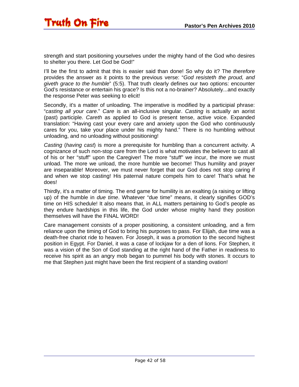strength and start positioning yourselves under the mighty hand of the God who desires to shelter you there. Let God be God!"

I'll be the first to admit that this is easier said than done! So why do it? The *therefore* provides the answer as it points to the previous verse: "*God resisteth the proud, and giveth grace to the humble*" (5:5). That truth clearly defines our two options: encounter God's resistance or entertain his grace? Is this not a no-brainer? Absolutely...and exactly the response Peter was seeking to elicit!

Secondly, it's a matter of unloading. The imperative is modified by a participial phrase: "*casting all your care*." *Care* is an all-inclusive singular. *Casting* is actually an aorist (past) participle. *Careth* as applied to God is present tense, active voice. Expanded translation: "Having cast your every care and anxiety upon the God who continuously cares for you, take your place under his mighty hand." There is no humbling without unloading, and no unloading without positioning!

*Casting* (*having cast*) is more a prerequisite for humbling than a concurrent activity. A cognizance of such non-stop care from the Lord is what motivates the believer to cast all of his or her "stuff" upon the Caregiver! The more "stuff" we incur, the more we must unload. The more we unload, the more humble we become! Thus humility and prayer are inseparable! Moreover, we must never forget that our God does not stop caring if and when we stop casting! His paternal nature compels him to care! That's what he does!

Thirdly, it's a matter of timing. The end game for humility is an exalting (a raising or lifting up) of the humble in *due time*. Whatever "due time" means, it clearly signifies GOD's time on HIS schedule! It also means that, in ALL matters pertaining to God's people as they endure hardships in this life, the God under whose mighty hand they position themselves will have the FINAL WORD!

Care management consists of a proper positioning, a consistent unloading, and a firm reliance upon the timing of God to bring his purposes to pass. For Elijah, due time was a death-free chariot ride to heaven. For Joseph, it was a promotion to the second highest position in Egypt. For Daniel, it was a case of lockjaw for a den of lions. For Stephen, it was a vision of the Son of God standing at the right hand of the Father in readiness to receive his spirit as an angry mob began to pummel his body with stones. It occurs to me that Stephen just might have been the first recipient of a standing ovation!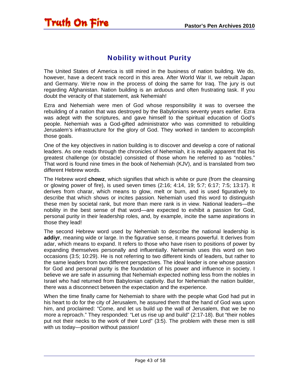### Nobility without Purity

<span id="page-42-0"></span>Truth On Fire

The United States of America is still mired in the business of nation building. We do, however, have a decent track record in this area. After World War II, we rebuilt Japan and Germany. We're now in the process of doing the same for Iraq. The jury is out regarding Afghanistan. Nation building is an arduous and often frustrating task. If you doubt the veracity of that statement, ask Nehemiah!

Ezra and Nehemiah were men of God whose responsibility it was to oversee the rebuilding of a nation that was destroyed by the Babylonians seventy years earlier. Ezra was adept with the scriptures, and gave himself to the spiritual education of God's people. Nehemiah was a God-gifted administrator who was committed to rebuilding Jerusalem's infrastructure for the glory of God. They worked in tandem to accomplish those goals.

One of the key objectives in nation building is to discover and develop a core of national leaders. As one reads through the chronicles of Nehemiah, it is readily apparent that his greatest challenge (or obstacle) consisted of those whom he referred to as "nobles." That word is found nine times in the book of Nehemiah (KJV), and is translated from two different Hebrew words.

The Hebrew word **chowz**, which signifies that which is white or pure (from the cleansing or glowing power of fire), is used seven times (2:16; 4:14, 19; 5:7; 6:17; 7:5; 13:17). It derives from charar, which means to glow, melt or burn, and is used figuratively to describe that which shows or incites passion. Nehemiah used this word to distinguish these men by societal rank, but more than mere rank is in view. National leaders—the nobility in the best sense of that word—are expected to exhibit a passion for God, personal purity in their leadership roles, and, by example, incite the same aspirations in those they lead!

The second Hebrew word used by Nehemiah to describe the national leadership is **addiyr**, meaning wide or large. In the figurative sense, it means powerful. It derives from adar, which means to expand. It refers to those who have risen to positions of power by expanding themselves personally and influentially. Nehemiah uses this word on two occasions (3:5; 10:29). He is not referring to two different kinds of leaders, but rather to the same leaders from two different perspectives. The ideal leader is one whose passion for God and personal purity is the foundation of his power and influence in society. I believe we are safe in assuming that Nehemiah expected nothing less from the nobles in Israel who had returned from Babylonian captivity. But for Nehemiah the nation builder, there was a disconnect between the expectation and the experience.

When the time finally came for Nehemiah to share with the people what God had put in his heart to do for the city of Jerusalem, he assured them that the hand of God was upon him, and proclaimed: "Come, and let us build up the wall of Jerusalem, that we be no more a reproach." They responded: "Let us rise up and build" (2:17-18). But "their nobles put not their necks to the work of their Lord" (3:5). The problem with these men is still with us today—position without passion!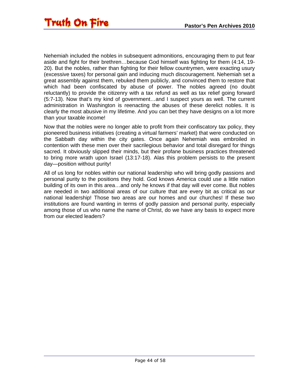Nehemiah included the nobles in subsequent admonitions, encouraging them to put fear aside and fight for their brethren…because God himself was fighting for them (4:14, 19- 20). But the nobles, rather than fighting for their fellow countrymen, were exacting usury (excessive taxes) for personal gain and inducing much discouragement. Nehemiah set a great assembly against them, rebuked them publicly, and convinced them to restore that which had been confiscated by abuse of power. The nobles agreed (no doubt reluctantly) to provide the citizenry with a tax refund as well as tax relief going forward (5:7-13). Now that's my kind of government…and I suspect yours as well. The current administration in Washington is reenacting the abuses of these derelict nobles. It is clearly the most abusive in my lifetime. And you can bet they have designs on a lot more than your taxable income!

Now that the nobles were no longer able to profit from their confiscatory tax policy, they pioneered business initiatives (creating a virtual farmers' market) that were conducted on the Sabbath day within the city gates. Once again Nehemiah was embroiled in contention with these men over their sacrilegious behavior and total disregard for things sacred. It obviously slipped their minds, but their profane business practices threatened to bring more wrath upon Israel (13:17-18). Alas this problem persists to the present day—position without purity!

All of us long for nobles within our national leadership who will bring godly passions and personal purity to the positions they hold. God knows America could use a little nation building of its own in this area…and only he knows if that day will ever come. But nobles are needed in two additional areas of our culture that are every bit as critical as our national leadership! Those two areas are our homes and our churches! If these two institutions are found wanting in terms of godly passion and personal purity, especially among those of us who name the name of Christ, do we have any basis to expect more from our elected leaders?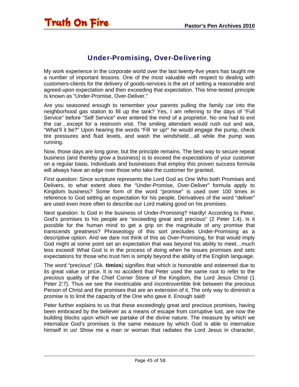#### Under-Promising, Over-Delivering

<span id="page-44-0"></span>My work experience in the corporate world over the last twenty-five years has taught me a number of important lessons. One of the most valuable with respect to dealing with customers-clients for the delivery of goods-services is the art of setting a reasonable and agreed-upon expectation and then exceeding that expectation. This time-tested principle is known as "Under-Promise, Over-Deliver."

Are you seasoned enough to remember your parents pulling the family car into the neighborhood gas station to fill up the tank? Yes, I am referring to the days of "Full Service" before "Self Service" ever entered the mind of a proprietor. No one had to exit the car…except for a restroom visit. The smiling attendant would rush out and ask, "What'll it be?" Upon hearing the words "Fill 'er up!" he would engage the pump, check tire pressures and fluid levels, and wash the windshield…all while the pump was running.

Now, those days are long gone, but the principle remains. The best way to secure repeat business (and thereby grow a business) is to exceed the expectations of your customer on a regular basis. Individuals and businesses that employ this proven success formula will always have an edge over those who take the customer for granted.

First question: Since scripture represents the Lord God as One Who both Promises and Delivers, to what extent does the "Under-Promise, Over-Deliver" formula apply to Kingdom business? Some form of the word "promise" is used over 100 times in reference to God setting an expectation for his people. Derivatives of the word "deliver" are used even more often to describe our Lord making good on his promises.

Next question: Is God in the business of Under-Promising? Hardly! According to Peter, God's promises to his people are "exceeding great and precious" (2 Peter 1:4). Is it possible for the human mind to get a grip on the magnitude of any promise that transcends greatness? Phraseology of this sort precludes Under-Promising as a descriptive option. And we dare not think of this as Over-Promising, for that would imply God might at some point set an expectation that was beyond his ability to meet…much less exceed! What God is in the process of doing when he issues promises and sets expectations for those who trust him is simply beyond the ability of the English language.

The word "precious" (Gk. **timios**) signifies that which is honorable and esteemed due to its great value or price. It is no accident that Peter used the same root to refer to the *precious* quality of the Chief Corner Stone of the Kingdom, the Lord Jesus Christ (1 Peter 2:7). Thus we see the inextricable and incontrovertible link between the precious Person of Christ and the promises that are an extension of it. The only way to diminish a promise is to limit the capacity of the One who gave it. Enough said!

Peter further explains to us that these exceedingly great and precious promises, having been embraced by the believer as a means of escape from corruptive lust, are now the building blocks upon which we partake of the divine nature. The measure by which we internalize God's promises is the same measure by which God is able to internalize himself in us! Show me a man or woman that radiates the Lord Jesus in character,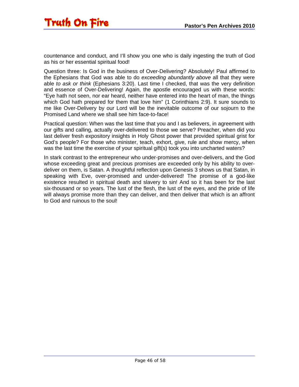countenance and conduct, and I'll show you one who is daily ingesting the truth of God as his or her essential spiritual food!

Question three: Is God in the business of Over-Delivering? Absolutely! Paul affirmed to the Ephesians that God was able to do *exceeding abundantly above* all that they were able *to ask or think* (Ephesians 3:20). Last time I checked, that was the very definition and essence of Over-Delivering! Again, the apostle encouraged us with these words: "Eye hath not seen, nor ear heard, neither have entered into the heart of man, the things which God hath prepared for them that love him" (1 Corinthians 2:9). It sure sounds to me like Over-Delivery by our Lord will be the inevitable outcome of our sojourn to the Promised Land where we shall see him face-to-face!

Practical question: When was the last time that you and I as believers, in agreement with our gifts and calling, actually over-delivered to those we serve? Preacher, when did you last deliver fresh expository insights in Holy Ghost power that provided spiritual grist for God's people? For those who minister, teach, exhort, give, rule and show mercy, when was the last time the exercise of your spiritual gift(s) took you into uncharted waters?

In stark contrast to the entrepreneur who under-promises and over-delivers, and the God whose exceeding great and precious promises are exceeded only by his ability to overdeliver on them, is Satan. A thoughtful reflection upon Genesis 3 shows us that Satan, in speaking with Eve, over-promised and under-delivered! The promise of a god-like existence resulted in spiritual death and slavery to sin! And so it has been for the last six-thousand or so years. The lust of the flesh, the lust of the eyes, and the pride of life will always promise more than they can deliver, and then deliver that which is an affront to God and ruinous to the soul!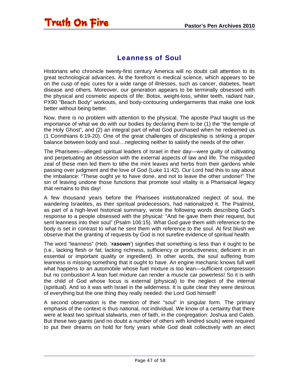#### Leanness of Soul

<span id="page-46-0"></span>Historians who chronicle twenty-first century America will no doubt call attention to its great technological advances. At the forefront is medical science, which appears to be on the cusp of epic cures for a wide range of illnesses, such as cancer, diabetes, heart disease and others. Moreover, our generation appears to be terminally obsessed with the physical and cosmetic aspects of life: Botox, weight-loss, whiter teeth, radiant hair, PX90 "Beach Body" workouts, and body-contouring undergarments that make one look better without being better.

Now, there is no problem with attention to the physical. The apostle Paul taught us the importance of what we do with our bodies by declaring them to be (1) the "the temple of the Holy Ghost", and (2) an integral part of what God purchased when he redeemed us (1 Corinthians 6:19-20). One of the great challenges of discipleship is striking a proper balance between body and soul…neglecting neither to satisfy the needs of the other.

The Pharisees—alleged spiritual leaders of Israel in their day—were guilty of cultivating and perpetuating an obsession with the external aspects of law and life. The misguided zeal of these men led them to tithe the mint leaves and herbs from their gardens while passing over judgment and the love of God (Luke 11:42). Our Lord had this to say about the imbalance: "These ought ye to have done, and not to leave the other undone!" The sin of leaving undone those functions that promote soul vitality is a Pharisaical legacy that remains to this day!

A few thousand years before the Pharisees institutionalized neglect of soul, the wandering Israelites, as their spiritual predecessors, had nationalized it. The Psalmist, as part of a high-level historical summary, wrote the following words describing God's response to a people obsessed with the physical: "And he gave them their request, but sent leanness into their soul" (Psalm 106:15). What God *gave* them with reference to the body is set in contrast to what he *sent* them with reference to the soul. At first blush we observe that the granting of requests by God is not surefire evidence of spiritual health.

The word "leanness" (Heb. '**rasown**') signifies that something is less than it ought to be (i.e., lacking flesh or fat; lacking richness, sufficiency or productiveness; deficient in an essential or important quality or ingredient). In other words, the soul suffering from leanness is missing something that it ought to have. An engine mechanic knows full well what happens to an automobile whose fuel mixture is too lean—sufficient compression but no combustion! A lean fuel mixture can render a muscle car powerless! So it is with the child of God whose focus is external (physical) to the neglect of the internal (spiritual). And so it was with Israel in the wilderness. It is quite clear they were desirous of everything but the one thing they really needed: the Lord God himself!

A second observation is the mention of their "soul" in singular form. The primary emphasis of the context is thus national, not individual. We know of a certainty that there were at least two spiritual stalwarts, men of faith, in the congregation: Joshua and Caleb. But these two giants (and no doubt a number of others with kindred souls) were required to put their dreams on hold for forty years while God dealt collectively with an elect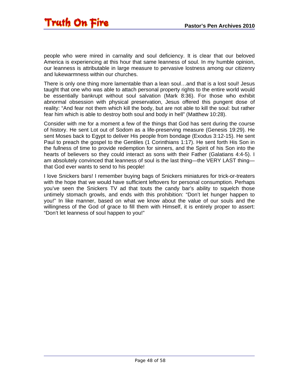people who were mired in carnality and soul deficiency. It is clear that our beloved America is experiencing at this hour that same leanness of soul. In my humble opinion, our leanness is attributable in large measure to pervasive lostness among our citizenry and lukewarmness within our churches.

There is only one thing more lamentable than a lean soul…and that is a lost soul! Jesus taught that one who was able to attach personal property rights to the entire world would be essentially bankrupt without soul salvation (Mark 8:36). For those who exhibit abnormal obsession with physical preservation, Jesus offered this pungent dose of reality: "And fear not them which kill the body, but are not able to kill the soul: but rather fear him which is able to destroy both soul and body in hell" (Matthew 10:28).

Consider with me for a moment a few of the things that God has sent during the course of history. He sent Lot out of Sodom as a life-preserving measure (Genesis 19:29). He sent Moses back to Egypt to deliver His people from bondage (Exodus 3:12-15). He sent Paul to preach the gospel to the Gentiles (1 Corinthians 1:17). He sent forth His Son in the fullness of time to provide redemption for sinners, and the Spirit of his Son into the hearts of believers so they could interact as sons with their Father (Galatians 4:4-5). I am absolutely convinced that leanness of soul is the last thing—the VERY LAST thing that God ever wants to send to his people!

I love Snickers bars! I remember buying bags of Snickers miniatures for trick-or-treaters with the hope that we would have sufficient leftovers for personal consumption. Perhaps you've seen the Snickers TV ad that touts the candy bar's ability to squelch those untimely stomach growls, and ends with this prohibition: "Don't let hunger happen to you!" In like manner, based on what we know about the value of our souls and the willingness of the God of grace to fill them with Himself, it is entirely proper to assert: "Don't let leanness of soul happen to you!"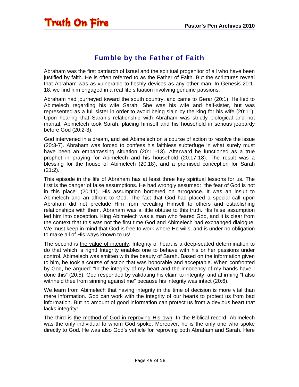<span id="page-48-0"></span>

#### Fumble by the Father of Faith

Abraham was the first patriarch of Israel and the spiritual progenitor of all who have been justified by faith. He is often referred to as the Father of Faith. But the scriptures reveal that Abraham was as vulnerable to fleshly devices as any other man. In Genesis 20:1- 18, we find him engaged in a real life situation involving genuine passions.

Abraham had journeyed toward the south country, and came to Gerar (20:1). He lied to Abimelech regarding his wife Sarah. She was his wife and half-sister, but was represented as a full sister in order to avoid being slain by the king for his wife (20:11). Upon hearing that Sarah's relationship with Abraham was strictly biological and not marital, Abimelech took Sarah, placing himself and his household in serious jeopardy before God (20:2-3).

God intervened in a dream, and set Abimelech on a course of action to resolve the issue (20:3-7). Abraham was forced to confess his faithless subterfuge in what surely must have been an embarrassing situation (20:11-13). Afterward he functioned as a true prophet in praying for Abimelech and his household (20:17-18). The result was a blessing for the house of Abimelech (20:18), and a promised conception for Sarah (21:2).

This episode in the life of Abraham has at least three key spiritual lessons for us. The first is the danger of false assumptions. He had wrongly assumed: "the fear of God is not in this place" (20:11). His assumption bordered on arrogance. It was an insult to Abimelech and an affront to God. The fact that God had placed a special call upon Abraham did not preclude Him from revealing Himself to others and establishing relationships with them. Abraham was a little obtuse to this truth. His false assumption led him into deception. King Abimelech was a man who feared God, and it is clear from the context that this was not the first time God and Abimelech had exchanged dialogue. We must keep in mind that God is free to work where He wills, and is under no obligation to make all of His ways known to us!

The second is the value of integrity. Integrity of heart is a deep-seated determination to do that which is right! Integrity enables one to behave with his or her passions under control. Abimelech was smitten with the beauty of Sarah. Based on the information given to him, he took a course of action that was honorable and acceptable. When confronted by God, he argued: "In the integrity of my heart and the innocency of my hands have I done this" (20:5). God responded by validating his claim to integrity, and affirming "I also withheld thee from sinning against me" because his integrity was intact (20:6).

We learn from Abimelech that having integrity in the time of decision is more vital than mere information. God can work with the integrity of our hearts to protect us from bad information. But no amount of good information can protect us from a devious heart that lacks integrity!

The third is the method of God in reproving His own. In the Biblical record, Abimelech was the only individual to whom God spoke. Moreover, he is the only one who spoke directly to God. He was also God's vehicle for reproving both Abraham and Sarah. Here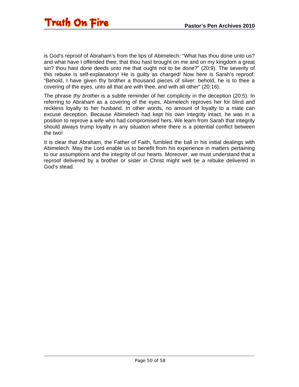is God's reproof of Abraham's from the lips of Abimelech: "What has thou done unto us? and what have I offended thee, that thou hast brought on me and on my kingdom a great sin? thou hast done deeds unto me that ought not to be done?" (20:9). The severity of this rebuke is self-explanatory! He is guilty as charged! Now here is Sarah's reproof: "Behold, I have given thy brother a thousand pieces of silver: behold, he is to thee a covering of the eyes, unto all that are with thee, and with all other" (20:16).

The phrase *thy brother* is a subtle reminder of her complicity in the deception (20:5). In referring to Abraham as a covering of the eyes, Abimelech reproves her for blind and reckless loyalty to her husband. In other words, no amount of loyalty to a mate can excuse deception. Because Abimelech had kept his own integrity intact, he was in a position to reprove a wife who had compromised hers. We learn from Sarah that integrity should always trump loyalty in any situation where there is a potential conflict between the two!

It is clear that Abraham, the Father of Faith, fumbled the ball in his initial dealings with Abimelech. May the Lord enable us to benefit from his experience in matters pertaining to our assumptions and the integrity of our hearts. Moreover, we must understand that a reproof delivered by a brother or sister in Christ might well be a rebuke delivered in God's stead.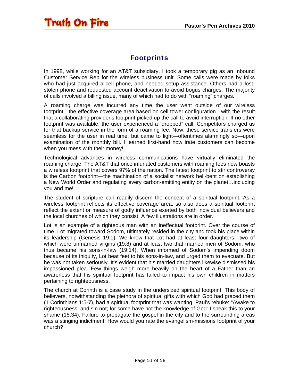### Footprints

<span id="page-50-0"></span>In 1998, while working for an AT&T subsidiary, I took a temporary gig as an Inbound Customer Service Rep for the wireless business unit. Some calls were made by folks who had just acquired a cell phone, and needed setup assistance. Others had a loststolen phone and requested account deactivation to avoid bogus charges. The majority of calls involved a billing issue, many of which had to do with "roaming" charges.

A roaming charge was incurred any time the user went outside of our wireless footprint—the effective coverage area based on cell tower configuration—with the result that a collaborating provider's footprint picked up the call to avoid interruption. If no other footprint was available, the user experienced a "dropped" call. Competitors charged us for that backup service in the form of a roaming fee. Now, these service transfers were seamless for the user in real time, but came to light—oftentimes alarmingly so—upon examination of the monthly bill. I learned first-hand how irate customers can become when you mess with their money!

Technological advances in wireless communications have virtually eliminated the roaming charge. The AT&T that once infuriated customers with roaming fees now boasts a wireless footprint that covers 97% of the nation. The latest footprint to stir controversy is the Carbon footprint—the machination of a socialist network hell-bent on establishing a New World Order and regulating every carbon-emitting entity on the planet…including you and me!

The student of scripture can readily discern the concept of a spiritual footprint. As a wireless footprint reflects its effective coverage area, so also does a spiritual footprint reflect the extent or measure of godly influence exerted by both individual believers and the local churches of which they consist. A few illustrations are in order.

Lot is an example of a righteous man with an ineffectual footprint. Over the course of time, Lot migrated toward Sodom, ultimately resided in the city and took his place within its leadership (Genesis 19:1). We know that Lot had at least four daughters—two of which were unmarried virgins (19:8) and at least two that married men of Sodom, who thus became his sons-in-law (19:14). When informed of Sodom's impending doom because of its iniquity, Lot beat feet to his sons-in-law, and urged them to evacuate. But he was not taken seriously. It's evident that his married daughters likewise dismissed his impassioned plea. Few things weigh more heavily on the heart of a Father than an awareness that his spiritual footprint has failed to impact his own children in matters pertaining to righteousness.

The church at Corinth is a case study in the undersized spiritual footprint. This body of believers, notwithstanding the plethora of spiritual gifts with which God had graced them (1 Corinthians 1:5-7), had a spiritual footprint that was wanting. Paul's rebuke: "Awake to righteousness, and sin not; for some have not the knowledge of God: I speak this to your shame (15:34). Failure to propagate the gospel in the city and to the surrounding areas was a stinging indictment! How would you rate the evangelism-missions footprint of your church?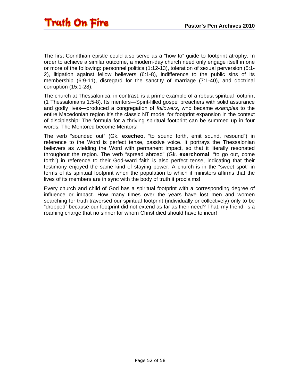The first Corinthian epistle could also serve as a "how to" guide to footprint atrophy. In order to achieve a similar outcome, a modern-day church need only engage itself in one or more of the following: personnel politics (1:12-13), toleration of sexual perversion (5:1- 2), litigation against fellow believers (6:1-8), indifference to the public sins of its membership (6:9-11), disregard for the sanctity of marriage (7:1-40), and doctrinal corruption (15:1-28).

The church at Thessalonica, in contrast, is a prime example of a robust spiritual footprint (1 Thessalonians 1:5-8). Its mentors—Spirit-filled gospel preachers with solid assurance and godly lives—produced a congregation of *followers*, who became *examples* to the entire Macedonian region It's the classic NT model for footprint expansion in the context of discipleship! The formula for a thriving spiritual footprint can be summed up in four words: The Mentored become Mentors!

The verb "sounded out" (Gk. **execheo**, "to sound forth, emit sound, resound") in reference to the Word is perfect tense, passive voice. It portrays the Thessalonian believers as wielding the Word with permanent impact, so that it literally resonated throughout the region. The verb "spread abroad" (Gk. **exerchomai**, "to go out, come forth") in reference to their God-ward faith is also perfect tense, indicating that their testimony enjoyed the same kind of staying power. A church is in the "sweet spot" in terms of its spiritual footprint when the population to which it ministers affirms that the lives of its members are in sync with the body of truth it proclaims!

Every church and child of God has a spiritual footprint with a corresponding degree of influence or impact. How many times over the years have lost men and women searching for truth traversed our spiritual footprint (individually or collectively) only to be "dropped" because our footprint did not extend as far as their need? That, my friend, is a roaming charge that no sinner for whom Christ died should have to incur!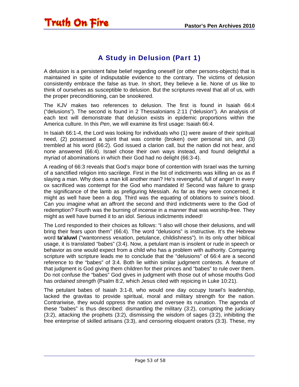### A Study in Delusion (Part 1)

<span id="page-52-0"></span>A delusion is a persistent false belief regarding oneself (or other persons-objects) that is maintained in spite of indisputable evidence to the contrary. The victims of delusion consistently embrace the false as true. In short, they believe a lie. None of us like to think of ourselves as susceptible to delusion. But the scriptures reveal that all of us, with the proper preconditioning, can be snookered.

The KJV makes two references to delusion. The first is found in Isaiah 66:4 ("delusions"). The second is found in 2 Thessalonians 2:11 ("delusion"). An analysis of each text will demonstrate that delusion exists in epidemic proportions within the America culture. In this *Pen*, we will examine its first usage: Isaiah 66:4.

In Isaiah 66:1-4, the Lord was looking for individuals who (1) were aware of their spiritual need, (2) possessed a spirit that was contrite (broken) over personal sin, and (3) trembled at his word (66:2). God issued a clarion call, but the nation did not hear, and none answered (66:4). Israel chose their own ways instead, and found delightful a myriad of abominations in which their God had no delight (66:3-4).

A reading of 66:3 reveals that God's major bone of contention with Israel was the turning of a sanctified religion into sacrilege. First in the list of indictments was killing an ox as if slaying a man. Why does a man kill another man? He's revengeful, full of anger! In every ox sacrificed was contempt for the God who mandated it! Second was failure to grasp the significance of the lamb as prefiguring Messiah. As far as they were concerned, it might as well have been a dog. Third was the equating of oblations to swine's blood. Can you imagine what an affront the second and third indictments were to the God of redemption? Fourth was the burning of incense in a manner that was worship-free. They might as well have burned it to an idol. Serious indictments indeed!

The Lord responded to their choices as follows: "I also will chose their delusions, and will bring their fears upon them" (66:4). The word "delusions" is instructive. It's the Hebrew word **ta'aluwl** ("wantonness vexation, petulance, childishness"). In its only other biblical usage, it is translated "babes" (3:4). Now, a petulant man is insolent or rude in speech or behavior as one would expect from a child who has a problem with authority. Comparing scripture with scripture leads me to conclude that the "delusions" of 66:4 are a second reference to the "babes" of 3:4. Both lie within similar judgment contexts. A feature of that judgment is God giving them children for their princes and "babes" to rule over them. Do not confuse the "babes" God gives in judgment with those out of whose mouths God has *ordained strength* (Psalm 8:2, which Jesus cited with rejoicing in Luke 10:21).

The petulant babes of Isaiah 3:1-8, who would one day occupy Israel's leadership, lacked the gravitas to provide spiritual, moral and military strength for the nation. Contrariwise, they would oppress the nation and oversee its ruination. The agenda of these "babes" is thus described: dismantling the military (3:2), corrupting the judiciary (3:2), attacking the prophets (3:2), dismissing the wisdom of sages (3:2), inhibiting the free enterprise of skilled artisans (3:3), and censoring eloquent orators (3:3). These, my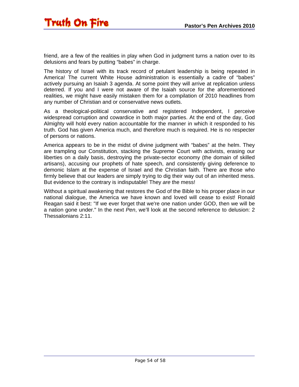friend, are a few of the realities in play when God in judgment turns a nation over to its delusions and fears by putting "babes" in charge.

The history of Israel with its track record of petulant leadership is being repeated in America! The current White House administration is essentially a cadre of "babes" actively pursuing an Isaiah 3 agenda. At some point they will arrive at replication unless deterred. If you and I were not aware of the Isaiah source for the aforementioned realities, we might have easily mistaken them for a compilation of 2010 headlines from any number of Christian and or conservative news outlets.

As a theological-political conservative and registered Independent, I perceive widespread corruption and cowardice in both major parties. At the end of the day, God Almighty will hold every nation accountable for the manner in which it responded to his truth. God has given America much, and therefore much is required. He is no respecter of persons or nations.

America appears to be in the midst of divine judgment with "babes" at the helm. They are trampling our Constitution, stacking the Supreme Court with activists, erasing our liberties on a daily basis, destroying the private-sector economy (the domain of skilled artisans), accusing our prophets of hate speech, and consistently giving deference to demonic Islam at the expense of Israel and the Christian faith. There are those who firmly believe that our leaders are simply trying to dig their way out of an inherited mess. But evidence to the contrary is indisputable! They *are* the mess!

Without a spiritual awakening that restores the God of the Bible to his proper place in our national dialogue, the America we have known and loved will cease to exist! Ronald Reagan said it best: "If we ever forget that we're one nation under GOD, then we will be a nation gone under." In the next *Pen*, we'll look at the second reference to delusion: 2 Thessalonians 2:11.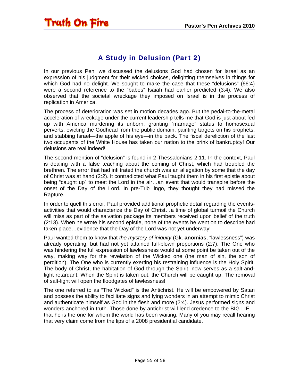### A Study in Delusion (Part 2)

<span id="page-54-0"></span>In our previous Pen, we discussed the delusions God had chosen for Israel as an expression of his judgment for their wicked choices, delighting themselves in things for which God had no delight. We sought to make the case that these "delusions" (66:4) were a second reference to the "babes" Isaiah had earlier predicted (3:4). We also observed that the societal wreckage they imposed on Israel is in the process of replication in America.

The process of deterioration was set in motion decades ago. But the pedal-to-the-metal acceleration of wreckage under the current leadership tells me that God is just about fed up with America murdering its unborn, granting "marriage" status to homosexual perverts, evicting the Godhead from the public domain, painting targets on his prophets, and stabbing Israel—the apple of his eye—in the back. The fiscal dereliction of the last two occupants of the White House has taken our nation to the brink of bankruptcy! Our delusions are real indeed!

The second mention of "delusion" is found in 2 Thessalonians 2:11. In the context, Paul is dealing with a false teaching about the coming of Christ, which had troubled the brethren. The error that had infiltrated the church was an allegation by some that the day of Christ was at hand (2:2). It contradicted what Paul taught them in his first epistle about being "caught up" to meet the Lord in the air…an event that would transpire before the onset of the Day of the Lord. In pre-Trib lingo, they thought they had missed the Rapture.

In order to quell this error, Paul provided additional prophetic detail regarding the eventsactivities that would characterize the Day of Christ…a time of global turmoil the Church will miss as part of the salvation package its members received upon belief of the truth (2:13). When he wrote his second epistle, none of the events he went on to describe had taken place…evidence that the Day of the Lord was not yet underway!

Paul wanted them to know that *the mystery of iniquity* (Gk. **anomias**, "lawlessness") was already operating, but had not yet attained full-blown proportions (2:7). The One who was hindering the full expression of lawlessness would at some point be taken out of the way, making way for the revelation of the Wicked one (the man of sin, the son of perdition). The One who is currently exerting his restraining influence is the Holy Spirit. The body of Christ, the habitation of God through the Spirit, now serves as a salt-andlight retardant. When the Spirit is taken out, the Church will be caught up. The removal of salt-light will open the floodgates of lawlessness!

The one referred to as "The Wicked" is the Antichrist. He will be empowered by Satan and possess the ability to facilitate signs and lying wonders in an attempt to mimic Christ and authenticate himself as God in the flesh and more (2:4). Jesus performed signs and wonders anchored in truth. Those done by antichrist will lend credence to the BIG LIE that he is the one for whom the world has been waiting. Many of you may recall hearing that very claim come from the lips of a 2008 presidential candidate.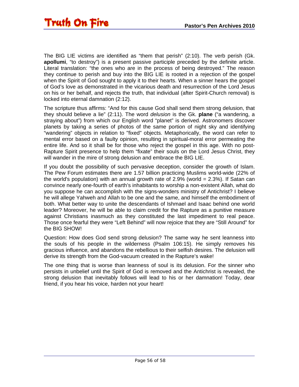The BIG LIE victims are identified as "them that perish" (2:10). The verb perish (Gk. **apollumi**, "to destroy") is a present passive participle preceded by the definite article. Literal translation: "the ones who are in the process of being destroyed." The reason they continue to perish and buy into the BIG LIE is rooted in a rejection of the gospel when the Spirit of God sought to apply it to their hearts. When a sinner hears the gospel of God's love as demonstrated in the vicarious death and resurrection of the Lord Jesus on his or her behalf, and rejects the truth, that individual (after Spirit-Church removal) is locked into eternal damnation (2:12).

The scripture thus affirms: "And for this cause God shall send them strong delusion, that they should believe a lie" (2:11). The word *delusion* is the Gk. **plane** ("a wandering, a straying about") from which our English word "planet" is derived. Astronomers discover planets by taking a series of photos of the same portion of night sky and identifying "wandering" objects in relation to "fixed" objects. Metaphorically, the word can refer to mental error based on a faulty opinion, resulting in spiritual-moral error permeating the entire life. And so it shall be for those who reject the gospel in this age. With no post-Rapture Spirit presence to help them "fixate" their souls on the Lord Jesus Christ, they will wander in the mire of strong delusion and embrace the BIG LIE.

If you doubt the possibility of such pervasive deception, consider the growth of Islam. The Pew Forum estimates there are 1.57 billion practicing Muslims world-wide (22% of the world's population) with an annual growth rate of 2.9% (world = 2.3%). If Satan can convince nearly one-fourth of earth's inhabitants to worship a non-existent Allah, what do you suppose he can accomplish with the signs-wonders ministry of Antichrist? I believe he will allege Yahweh and Allah to be one and the same, and himself the embodiment of both. What better way to unite the descendants of Ishmael and Isaac behind one world leader? Moreover, he will be able to claim credit for the Rapture as a punitive measure against Christians inasmuch as they constituted the last impediment to real peace. Those once fearful they were "Left Behind" will now rejoice that they are "Still Around" for the BIG SHOW!

Question: How does God send strong delusion? The same way he sent leanness into the souls of his people in the wilderness (Psalm 106:15). He simply removes his gracious influence, and abandons the rebellious to their selfish desires. The delusion will derive its strength from the God-vacuum created in the Rapture's wake!

The one thing that is worse than leanness of soul is its delusion. For the sinner who persists in unbelief until the Spirit of God is removed and the Antichrist is revealed, the strong delusion that inevitably follows will lead to his or her damnation! Today, dear friend, if you hear his voice, harden not your heart!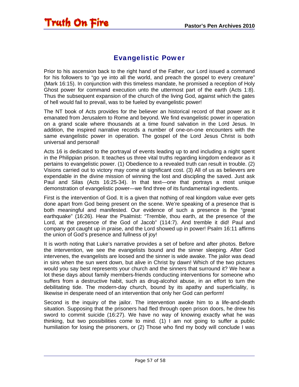#### Evangelistic Power

<span id="page-56-0"></span>Prior to his ascension back to the right hand of the Father, our Lord issued a command for his followers to "go ye into all the world, and preach the gospel to every creature" (Mark 16:15). In conjunction with this timeless mandate, he promised a reception of Holy Ghost power for command execution unto the uttermost part of the earth (Acts 1:8). Thus the subsequent expansion of the church of the living God, against which the gates of hell would fail to prevail, was to be fueled by evangelistic power!

The NT book of Acts provides for the believer an historical record of that power as it emanated from Jerusalem to Rome and beyond. We find evangelistic power in operation on a grand scale where thousands at a time found salvation in the Lord Jesus. In addition, the inspired narrative records a number of one-on-one encounters with the same evangelistic power in operation. The gospel of the Lord Jesus Christ is both universal and personal!

Acts 16 is dedicated to the portrayal of events leading up to and including a night spent in the Philippian prison. It teaches us three vital truths regarding kingdom endeavor as it pertains to evangelistic power. (1) Obedience to a revealed truth can result in trouble. (2) Visions carried out to victory may come at significant cost. (3) All of us as believers are expendable in the divine mission of winning the lost and discipling the saved. Just ask Paul and Silas (Acts 16:25-34). In that text—one that portrays a most unique demonstration of evangelistic power—we find three of its fundamental ingredients.

First is the intervention of God. It is a given that nothing of real kingdom value ever gets done apart from God being present on the scene. We're speaking of a presence that is both meaningful and manifested. Our evidence of such a presence is the "great earthquake" (16:26). Hear the Psalmist: "Tremble, thou earth, at the presence of the Lord, at the presence of the God of Jacob" (114:7). And tremble it did! Paul and company got caught up in praise, and the Lord showed up in power! Psalm 16:11 affirms the union of God's presence and fullness of joy!

It is worth noting that Luke's narrative provides a set of before and after photos. Before the intervention, we see the evangelists bound and the sinner sleeping. After God intervenes, the evangelists are loosed and the sinner is wide awake. The jailor was dead in sins when the sun went down, but alive in Christ by dawn! Which of the two pictures would you say best represents your church and the sinners that surround it? We hear a lot these days about family members-friends conducting interventions for someone who suffers from a destructive habit, such as drug-alcohol abuse, in an effort to turn the debilitating tide. The modern-day church, bound by its apathy and superficiality, is likewise in desperate need of an intervention that only her God can perform!

Second is the inquiry of the jailor. The intervention awoke him to a life-and-death situation. Supposing that the prisoners had fled through open prison doors, he drew his sword to commit suicide (16:27). We have no way of knowing exactly what he was thinking, but two possibilities come to mind. (1) I am not going to suffer a public humiliation for losing the prisoners, or (2) Those who find my body will conclude I was